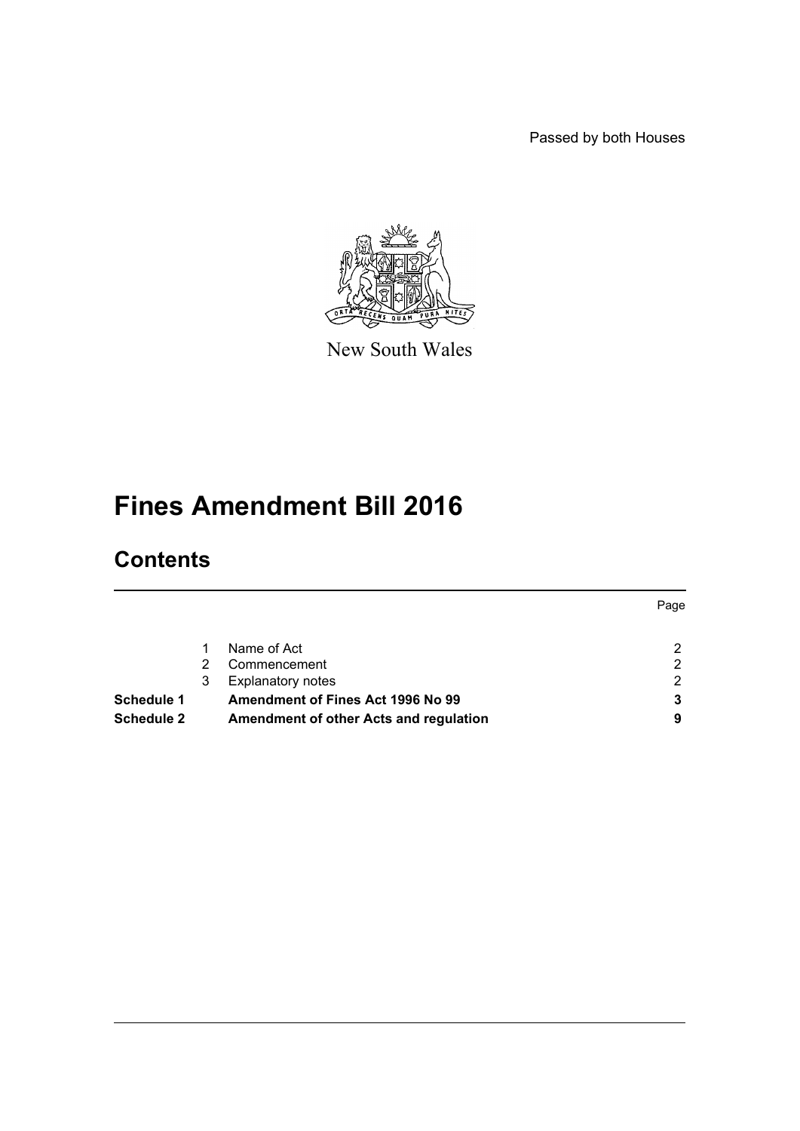Passed by both Houses



New South Wales

# **Fines Amendment Bill 2016**

# **Contents**

|                   |   |                                        | Page |
|-------------------|---|----------------------------------------|------|
|                   |   | Name of Act                            | ົ    |
|                   | 2 | Commencement                           | っ    |
|                   | 3 | <b>Explanatory notes</b>               | 2    |
| <b>Schedule 1</b> |   | Amendment of Fines Act 1996 No 99      |      |
| Schedule 2        |   | Amendment of other Acts and regulation | 9    |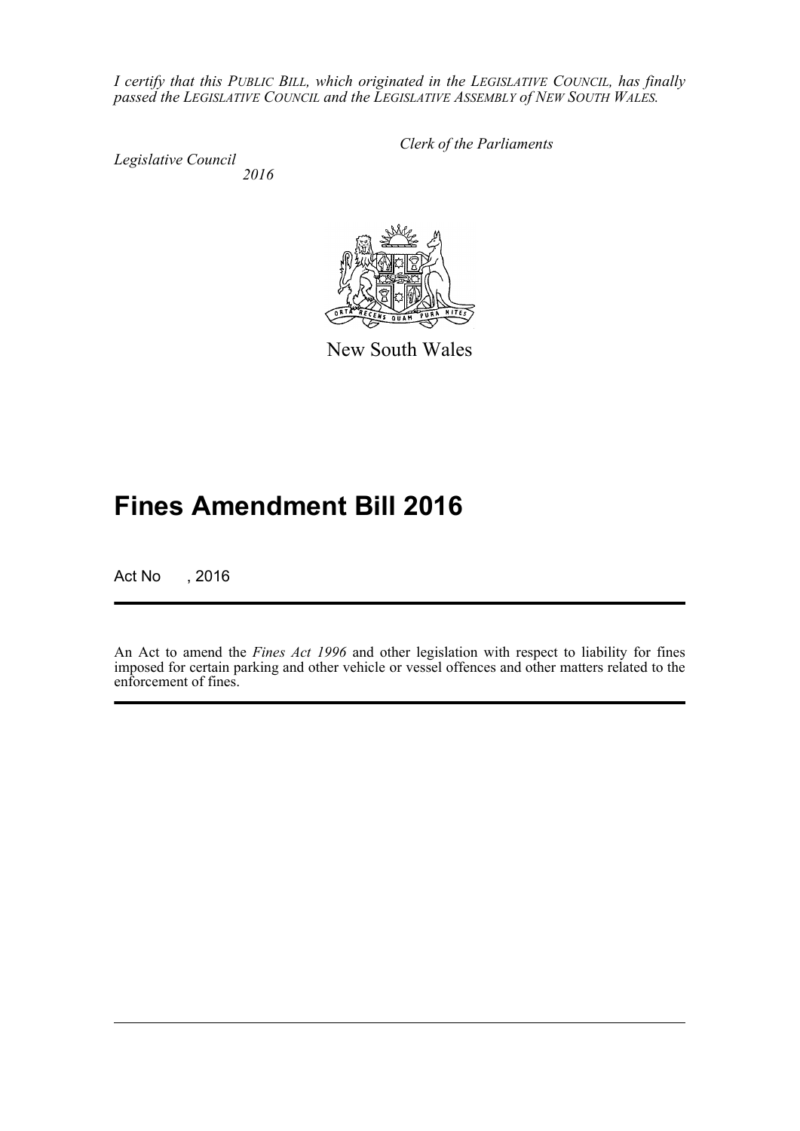*I certify that this PUBLIC BILL, which originated in the LEGISLATIVE COUNCIL, has finally passed the LEGISLATIVE COUNCIL and the LEGISLATIVE ASSEMBLY of NEW SOUTH WALES.*

*Legislative Council 2016* *Clerk of the Parliaments*



New South Wales

# **Fines Amendment Bill 2016**

Act No , 2016

An Act to amend the *Fines Act 1996* and other legislation with respect to liability for fines imposed for certain parking and other vehicle or vessel offences and other matters related to the enforcement of fines.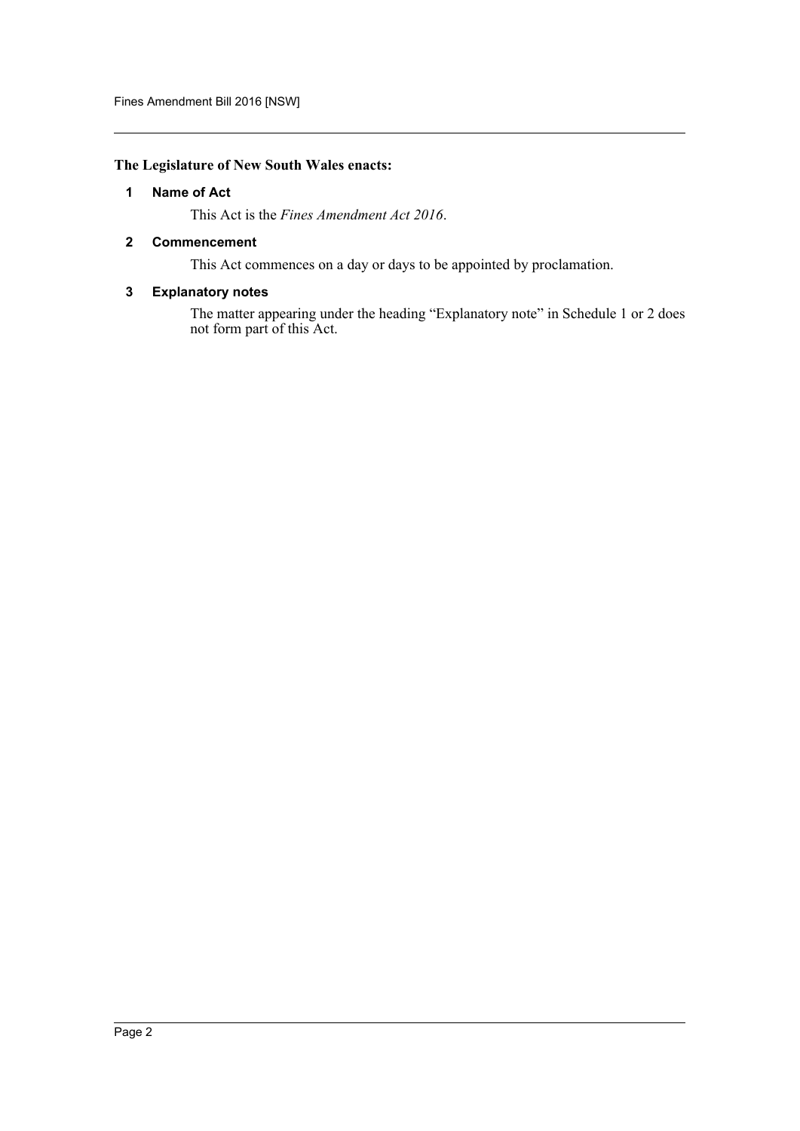## <span id="page-2-0"></span>**The Legislature of New South Wales enacts:**

#### **1 Name of Act**

This Act is the *Fines Amendment Act 2016*.

#### <span id="page-2-1"></span>**2 Commencement**

This Act commences on a day or days to be appointed by proclamation.

#### <span id="page-2-2"></span>**3 Explanatory notes**

The matter appearing under the heading "Explanatory note" in Schedule 1 or 2 does not form part of this Act.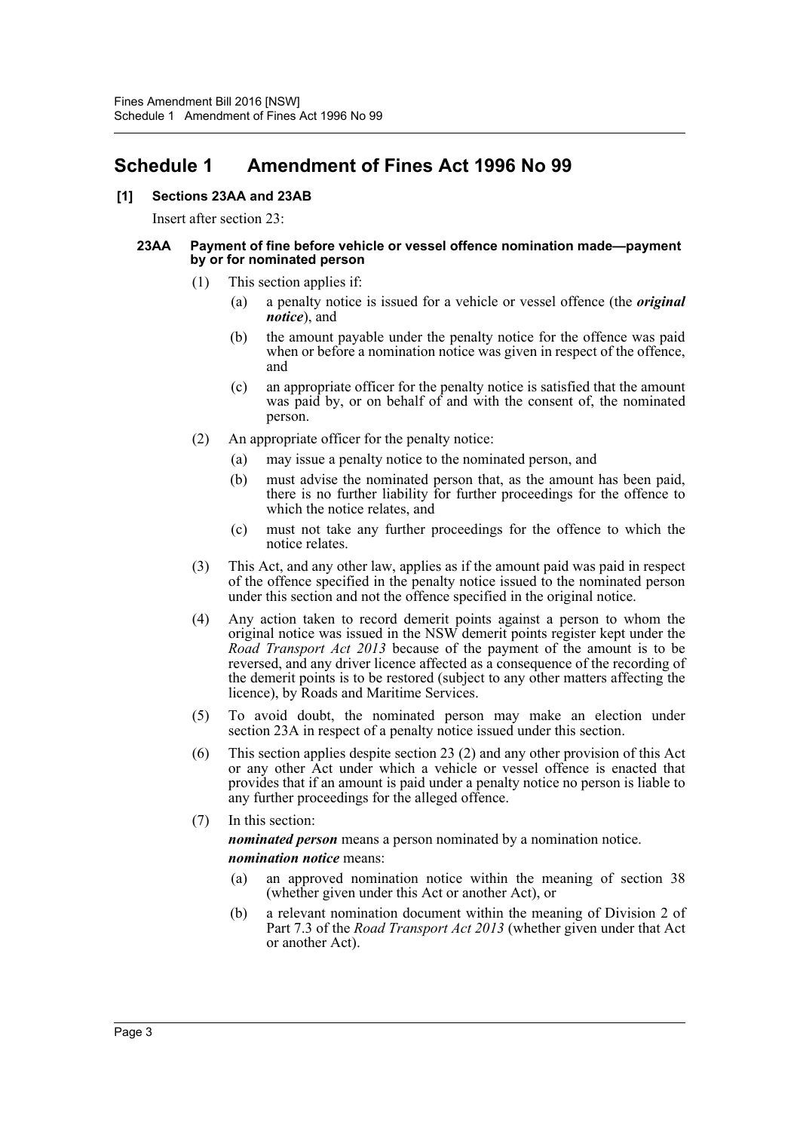# <span id="page-3-0"></span>**Schedule 1 Amendment of Fines Act 1996 No 99**

# **[1] Sections 23AA and 23AB**

Insert after section 23:

#### **23AA Payment of fine before vehicle or vessel offence nomination made—payment by or for nominated person**

- (1) This section applies if:
	- (a) a penalty notice is issued for a vehicle or vessel offence (the *original notice*), and
	- (b) the amount payable under the penalty notice for the offence was paid when or before a nomination notice was given in respect of the offence, and
	- (c) an appropriate officer for the penalty notice is satisfied that the amount was paid by, or on behalf of and with the consent of, the nominated person.
- (2) An appropriate officer for the penalty notice:
	- (a) may issue a penalty notice to the nominated person, and
	- (b) must advise the nominated person that, as the amount has been paid, there is no further liability for further proceedings for the offence to which the notice relates, and
	- (c) must not take any further proceedings for the offence to which the notice relates.
- (3) This Act, and any other law, applies as if the amount paid was paid in respect of the offence specified in the penalty notice issued to the nominated person under this section and not the offence specified in the original notice.
- (4) Any action taken to record demerit points against a person to whom the original notice was issued in the NSW demerit points register kept under the *Road Transport Act 2013* because of the payment of the amount is to be reversed, and any driver licence affected as a consequence of the recording of the demerit points is to be restored (subject to any other matters affecting the licence), by Roads and Maritime Services.
- (5) To avoid doubt, the nominated person may make an election under section 23A in respect of a penalty notice issued under this section.
- (6) This section applies despite section 23 (2) and any other provision of this Act or any other Act under which a vehicle or vessel offence is enacted that provides that if an amount is paid under a penalty notice no person is liable to any further proceedings for the alleged offence.

# (7) In this section: *nominated person* means a person nominated by a nomination notice. *nomination notice* means:

- (a) an approved nomination notice within the meaning of section 38 (whether given under this Act or another Act), or
- (b) a relevant nomination document within the meaning of Division 2 of Part 7.3 of the *Road Transport Act 2013* (whether given under that Act or another Act).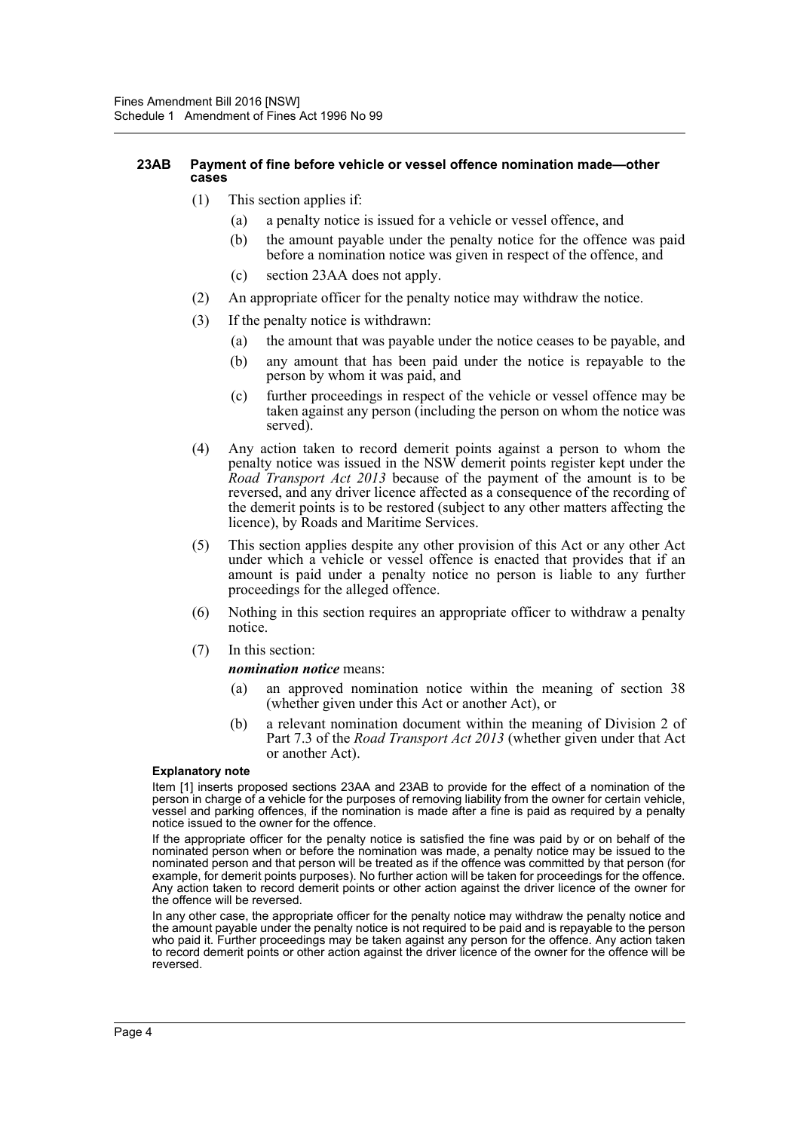#### **23AB Payment of fine before vehicle or vessel offence nomination made—other cases**

- (1) This section applies if:
	- (a) a penalty notice is issued for a vehicle or vessel offence, and
	- (b) the amount payable under the penalty notice for the offence was paid before a nomination notice was given in respect of the offence, and
	- (c) section 23AA does not apply.
- (2) An appropriate officer for the penalty notice may withdraw the notice.
- (3) If the penalty notice is withdrawn:
	- (a) the amount that was payable under the notice ceases to be payable, and
	- (b) any amount that has been paid under the notice is repayable to the person by whom it was paid, and
	- (c) further proceedings in respect of the vehicle or vessel offence may be taken against any person (including the person on whom the notice was served).
- (4) Any action taken to record demerit points against a person to whom the penalty notice was issued in the NSW demerit points register kept under the *Road Transport Act 2013* because of the payment of the amount is to be reversed, and any driver licence affected as a consequence of the recording of the demerit points is to be restored (subject to any other matters affecting the licence), by Roads and Maritime Services.
- (5) This section applies despite any other provision of this Act or any other Act under which a vehicle or vessel offence is enacted that provides that if an amount is paid under a penalty notice no person is liable to any further proceedings for the alleged offence.
- (6) Nothing in this section requires an appropriate officer to withdraw a penalty notice.
- (7) In this section:

#### *nomination notice* means:

- (a) an approved nomination notice within the meaning of section 38 (whether given under this Act or another Act), or
- (b) a relevant nomination document within the meaning of Division 2 of Part 7.3 of the *Road Transport Act 2013* (whether given under that Act or another Act).

#### **Explanatory note**

Item [1] inserts proposed sections 23AA and 23AB to provide for the effect of a nomination of the person in charge of a vehicle for the purposes of removing liability from the owner for certain vehicle, vessel and parking offences, if the nomination is made after a fine is paid as required by a penalty notice issued to the owner for the offence.

If the appropriate officer for the penalty notice is satisfied the fine was paid by or on behalf of the nominated person when or before the nomination was made, a penalty notice may be issued to the nominated person and that person will be treated as if the offence was committed by that person (for example, for demerit points purposes). No further action will be taken for proceedings for the offence. Any action taken to record demerit points or other action against the driver licence of the owner for the offence will be reversed.

In any other case, the appropriate officer for the penalty notice may withdraw the penalty notice and the amount payable under the penalty notice is not required to be paid and is repayable to the person who paid it. Further proceedings may be taken against any person for the offence. Any action taken to record demerit points or other action against the driver licence of the owner for the offence will be reversed.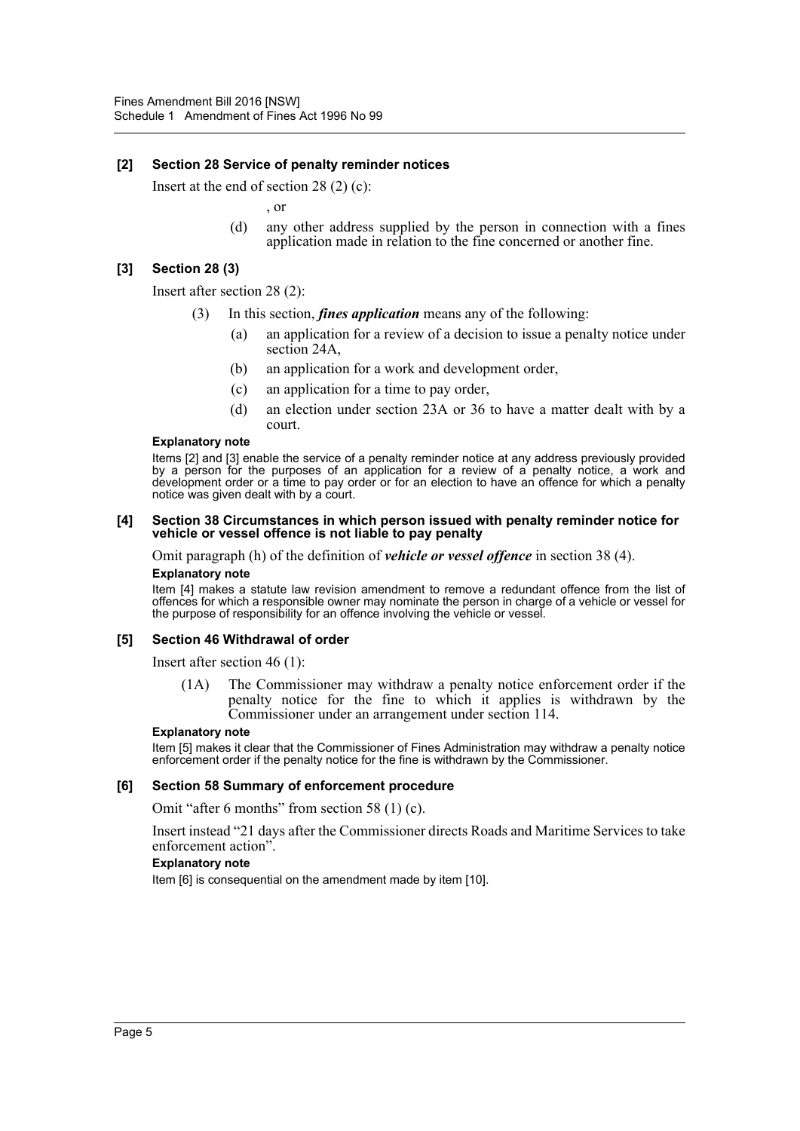#### **[2] Section 28 Service of penalty reminder notices**

Insert at the end of section 28 (2) (c):

, or

(d) any other address supplied by the person in connection with a fines application made in relation to the fine concerned or another fine.

#### **[3] Section 28 (3)**

Insert after section 28 (2):

- In this section, *fines application* means any of the following:
	- (a) an application for a review of a decision to issue a penalty notice under section 24A,
	- (b) an application for a work and development order,
	- (c) an application for a time to pay order,
	- (d) an election under section 23A or 36 to have a matter dealt with by a court.

#### **Explanatory note**

Items [2] and [3] enable the service of a penalty reminder notice at any address previously provided by a person for the purposes of an application for a review of a penalty notice, a work and development order or a time to pay order or for an election to have an offence for which a penalty notice was given dealt with by a court.

#### **[4] Section 38 Circumstances in which person issued with penalty reminder notice for vehicle or vessel offence is not liable to pay penalty**

Omit paragraph (h) of the definition of *vehicle or vessel offence* in section 38 (4).

#### **Explanatory note**

Item [4] makes a statute law revision amendment to remove a redundant offence from the list of offences for which a responsible owner may nominate the person in charge of a vehicle or vessel for the purpose of responsibility for an offence involving the vehicle or vessel.

#### **[5] Section 46 Withdrawal of order**

Insert after section 46 (1):

(1A) The Commissioner may withdraw a penalty notice enforcement order if the penalty notice for the fine to which it applies is withdrawn by the Commissioner under an arrangement under section 114.

#### **Explanatory note**

Item [5] makes it clear that the Commissioner of Fines Administration may withdraw a penalty notice enforcement order if the penalty notice for the fine is withdrawn by the Commissioner.

#### **[6] Section 58 Summary of enforcement procedure**

Omit "after 6 months" from section 58 (1) (c).

Insert instead "21 days after the Commissioner directs Roads and Maritime Services to take enforcement action".

#### **Explanatory note**

Item [6] is consequential on the amendment made by item [10].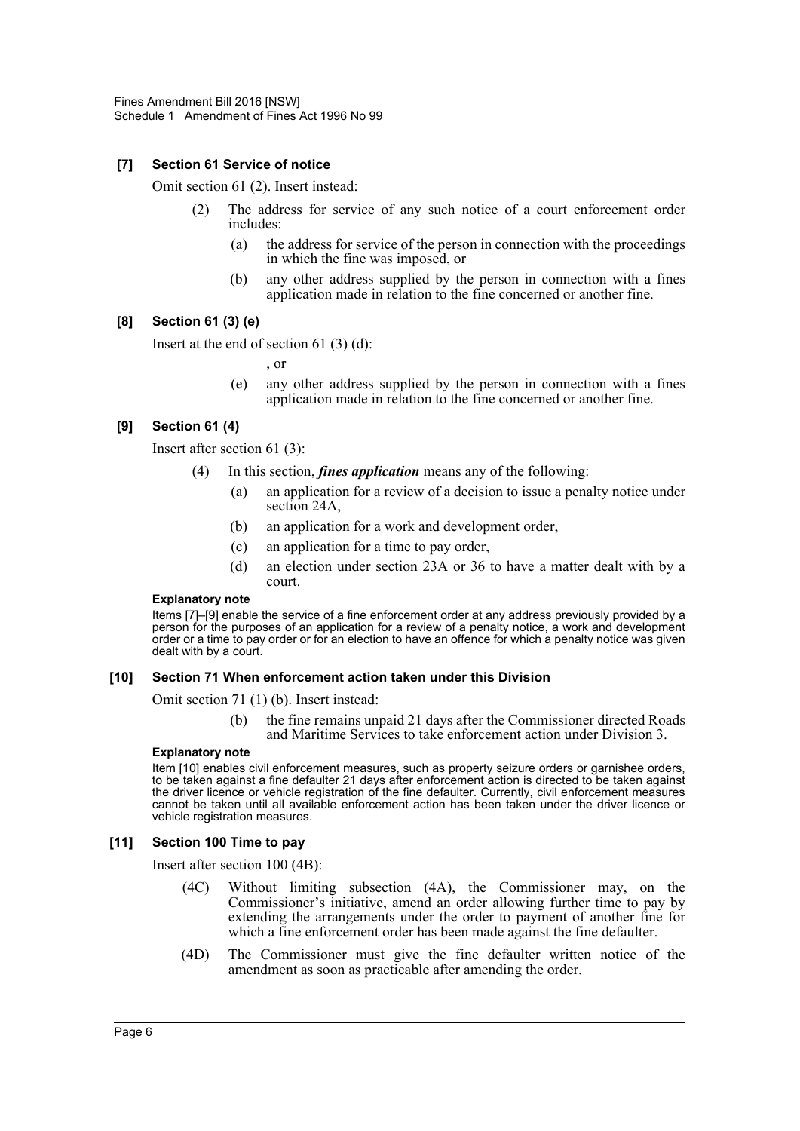## **[7] Section 61 Service of notice**

Omit section 61 (2). Insert instead:

- (2) The address for service of any such notice of a court enforcement order includes:
	- (a) the address for service of the person in connection with the proceedings in which the fine was imposed, or
	- (b) any other address supplied by the person in connection with a fines application made in relation to the fine concerned or another fine.

#### **[8] Section 61 (3) (e)**

Insert at the end of section 61 (3) (d):

, or

(e) any other address supplied by the person in connection with a fines application made in relation to the fine concerned or another fine.

## **[9] Section 61 (4)**

Insert after section 61 (3):

- (4) In this section, *fines application* means any of the following:
	- (a) an application for a review of a decision to issue a penalty notice under section 24A.
	- (b) an application for a work and development order,
	- (c) an application for a time to pay order,
	- (d) an election under section 23A or 36 to have a matter dealt with by a court.

#### **Explanatory note**

Items [7]–[9] enable the service of a fine enforcement order at any address previously provided by a person for the purposes of an application for a review of a penalty notice, a work and development order or a time to pay order or for an election to have an offence for which a penalty notice was given dealt with by a court.

#### **[10] Section 71 When enforcement action taken under this Division**

Omit section 71 (1) (b). Insert instead:

(b) the fine remains unpaid 21 days after the Commissioner directed Roads and Maritime Services to take enforcement action under Division 3.

#### **Explanatory note**

Item [10] enables civil enforcement measures, such as property seizure orders or garnishee orders, to be taken against a fine defaulter 21 days after enforcement action is directed to be taken against the driver licence or vehicle registration of the fine defaulter. Currently, civil enforcement measures cannot be taken until all available enforcement action has been taken under the driver licence or vehicle registration measures.

#### **[11] Section 100 Time to pay**

Insert after section 100 (4B):

- (4C) Without limiting subsection (4A), the Commissioner may, on the Commissioner's initiative, amend an order allowing further time to pay by extending the arrangements under the order to payment of another fine for which a fine enforcement order has been made against the fine defaulter.
- (4D) The Commissioner must give the fine defaulter written notice of the amendment as soon as practicable after amending the order.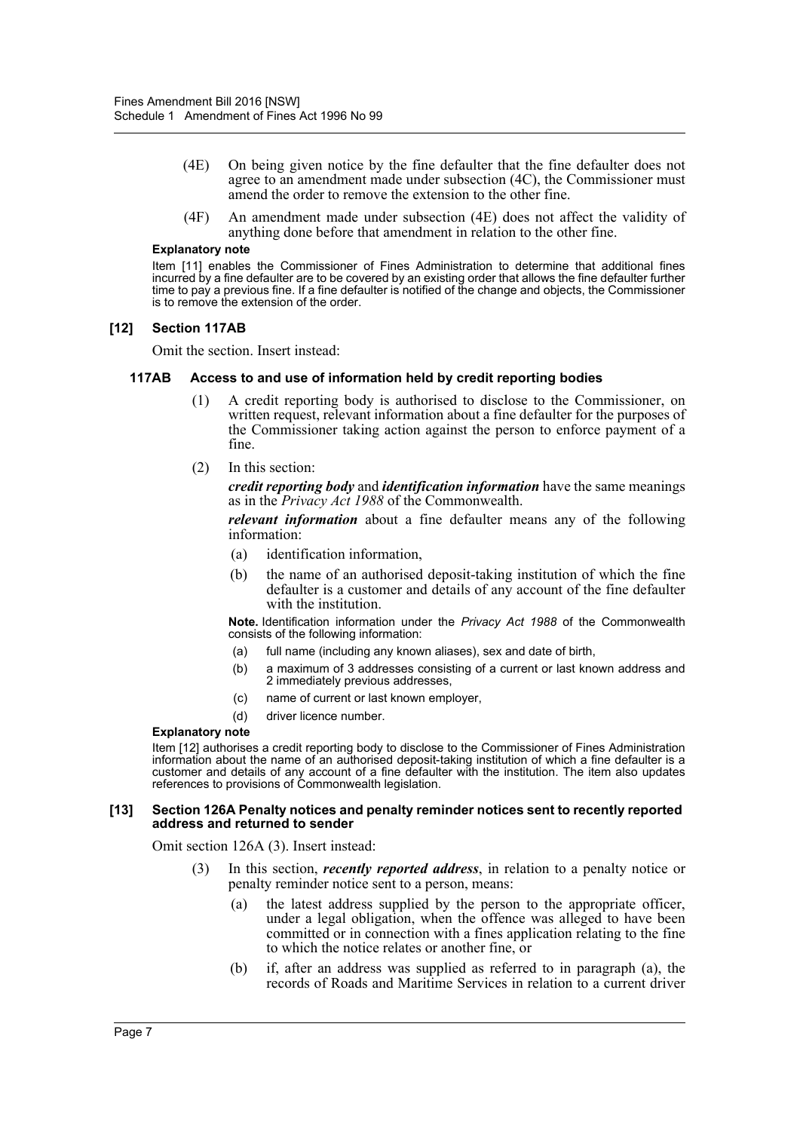- (4E) On being given notice by the fine defaulter that the fine defaulter does not agree to an amendment made under subsection (4C), the Commissioner must amend the order to remove the extension to the other fine.
- (4F) An amendment made under subsection (4E) does not affect the validity of anything done before that amendment in relation to the other fine.

#### **Explanatory note**

Item [11] enables the Commissioner of Fines Administration to determine that additional fines incurred by a fine defaulter are to be covered by an existing order that allows the fine defaulter further time to pay a previous fine. If a fine defaulter is notified of the change and objects, the Commissioner is to remove the extension of the order.

#### **[12] Section 117AB**

Omit the section. Insert instead:

#### **117AB Access to and use of information held by credit reporting bodies**

- (1) A credit reporting body is authorised to disclose to the Commissioner, on written request, relevant information about a fine defaulter for the purposes of the Commissioner taking action against the person to enforce payment of a fine.
- (2) In this section:

*credit reporting body* and *identification information* have the same meanings as in the *Privacy Act 1988* of the Commonwealth.

*relevant information* about a fine defaulter means any of the following information:

- (a) identification information,
- (b) the name of an authorised deposit-taking institution of which the fine defaulter is a customer and details of any account of the fine defaulter with the institution.

**Note.** Identification information under the *Privacy Act 1988* of the Commonwealth consists of the following information:

- (a) full name (including any known aliases), sex and date of birth,
- (b) a maximum of 3 addresses consisting of a current or last known address and 2 immediately previous addresses,
- (c) name of current or last known employer,
- (d) driver licence number.

#### **Explanatory note**

Item [12] authorises a credit reporting body to disclose to the Commissioner of Fines Administration information about the name of an authorised deposit-taking institution of which a fine defaulter is a customer and details of any account of a fine defaulter with the institution. The item also updates references to provisions of Commonwealth legislation.

#### **[13] Section 126A Penalty notices and penalty reminder notices sent to recently reported address and returned to sender**

Omit section 126A (3). Insert instead:

- (3) In this section, *recently reported address*, in relation to a penalty notice or penalty reminder notice sent to a person, means:
	- (a) the latest address supplied by the person to the appropriate officer, under a legal obligation, when the offence was alleged to have been committed or in connection with a fines application relating to the fine to which the notice relates or another fine, or
	- (b) if, after an address was supplied as referred to in paragraph (a), the records of Roads and Maritime Services in relation to a current driver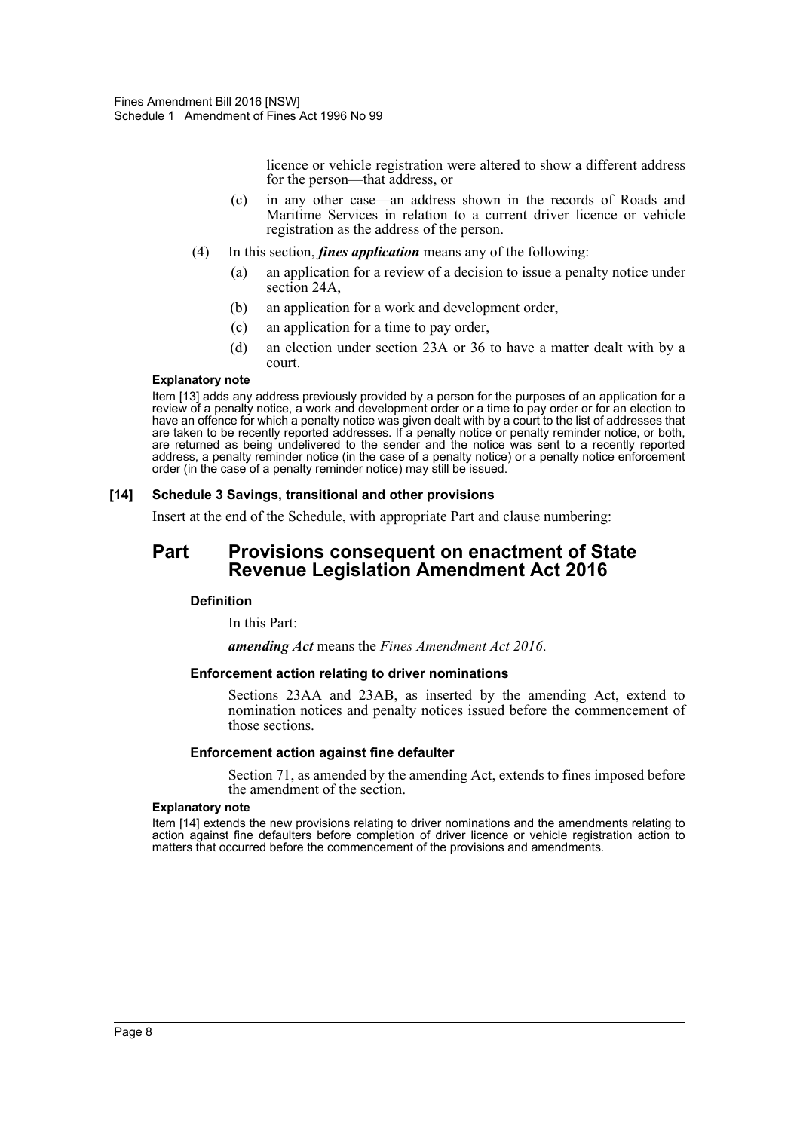licence or vehicle registration were altered to show a different address for the person—that address, or

- (c) in any other case—an address shown in the records of Roads and Maritime Services in relation to a current driver licence or vehicle registration as the address of the person.
- (4) In this section, *fines application* means any of the following:
	- (a) an application for a review of a decision to issue a penalty notice under section 24A,
	- (b) an application for a work and development order,
	- (c) an application for a time to pay order,
	- (d) an election under section 23A or 36 to have a matter dealt with by a court.

#### **Explanatory note**

Item [13] adds any address previously provided by a person for the purposes of an application for a review of a penalty notice, a work and development order or a time to pay order or for an election to have an offence for which a penalty notice was given dealt with by a court to the list of addresses that are taken to be recently reported addresses. If a penalty notice or penalty reminder notice, or both, are returned as being undelivered to the sender and the notice was sent to a recently reported address, a penalty reminder notice (in the case of a penalty notice) or a penalty notice enforcement order (in the case of a penalty reminder notice) may still be issued.

#### **[14] Schedule 3 Savings, transitional and other provisions**

Insert at the end of the Schedule, with appropriate Part and clause numbering:

# **Part Provisions consequent on enactment of State Revenue Legislation Amendment Act 2016**

#### **Definition**

In this Part:

*amending Act* means the *Fines Amendment Act 2016*.

#### **Enforcement action relating to driver nominations**

Sections 23AA and 23AB, as inserted by the amending Act, extend to nomination notices and penalty notices issued before the commencement of those sections.

#### **Enforcement action against fine defaulter**

Section 71, as amended by the amending Act, extends to fines imposed before the amendment of the section.

#### **Explanatory note**

Item [14] extends the new provisions relating to driver nominations and the amendments relating to action against fine defaulters before completion of driver licence or vehicle registration action to matters that occurred before the commencement of the provisions and amendments.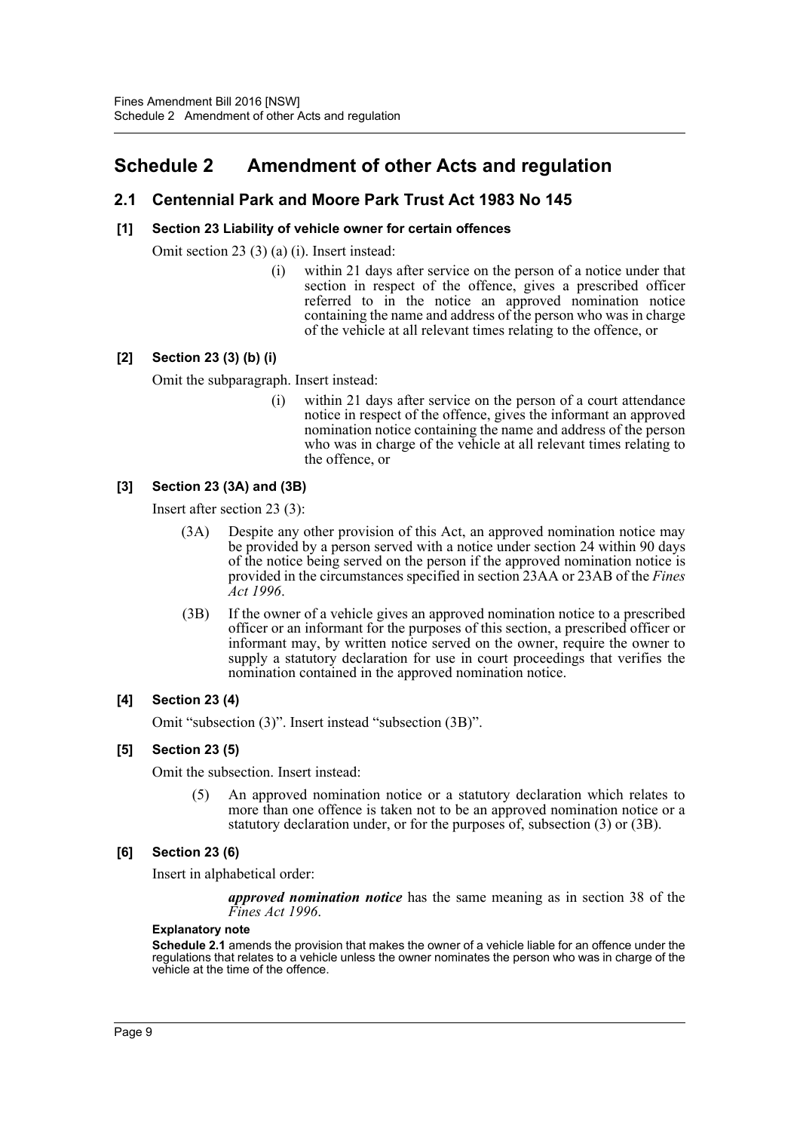# <span id="page-9-0"></span>**Schedule 2 Amendment of other Acts and regulation**

# **2.1 Centennial Park and Moore Park Trust Act 1983 No 145**

## **[1] Section 23 Liability of vehicle owner for certain offences**

Omit section 23 (3) (a) (i). Insert instead:

(i) within 21 days after service on the person of a notice under that section in respect of the offence, gives a prescribed officer referred to in the notice an approved nomination notice containing the name and address of the person who was in charge of the vehicle at all relevant times relating to the offence, or

## **[2] Section 23 (3) (b) (i)**

Omit the subparagraph. Insert instead:

(i) within 21 days after service on the person of a court attendance notice in respect of the offence, gives the informant an approved nomination notice containing the name and address of the person who was in charge of the vehicle at all relevant times relating to the offence, or

## **[3] Section 23 (3A) and (3B)**

Insert after section 23 (3):

- (3A) Despite any other provision of this Act, an approved nomination notice may be provided by a person served with a notice under section 24 within 90 days of the notice being served on the person if the approved nomination notice is provided in the circumstances specified in section 23AA or 23AB of the *Fines Act 1996*.
- (3B) If the owner of a vehicle gives an approved nomination notice to a prescribed officer or an informant for the purposes of this section, a prescribed officer or informant may, by written notice served on the owner, require the owner to supply a statutory declaration for use in court proceedings that verifies the nomination contained in the approved nomination notice.

#### **[4] Section 23 (4)**

Omit "subsection (3)". Insert instead "subsection (3B)".

#### **[5] Section 23 (5)**

Omit the subsection. Insert instead:

(5) An approved nomination notice or a statutory declaration which relates to more than one offence is taken not to be an approved nomination notice or a statutory declaration under, or for the purposes of, subsection (3) or (3B).

#### **[6] Section 23 (6)**

Insert in alphabetical order:

*approved nomination notice* has the same meaning as in section 38 of the *Fines Act 1996*.

#### **Explanatory note**

**Schedule 2.1** amends the provision that makes the owner of a vehicle liable for an offence under the regulations that relates to a vehicle unless the owner nominates the person who was in charge of the vehicle at the time of the offence.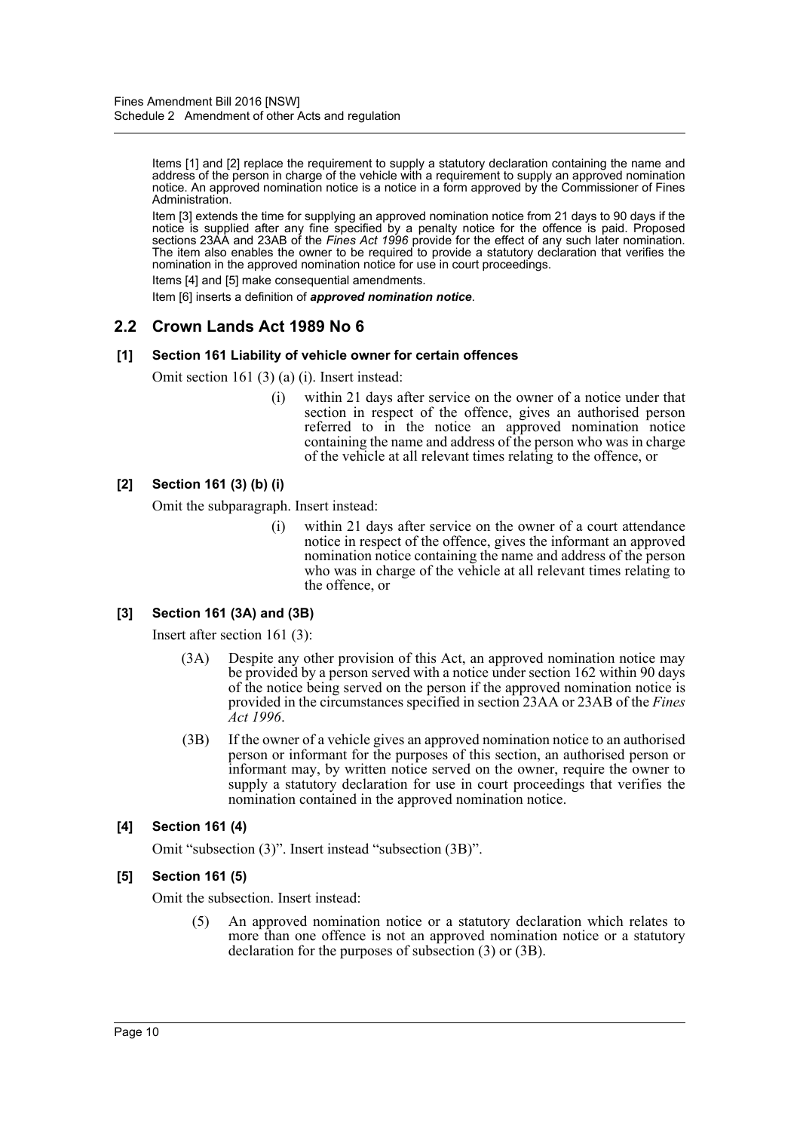Items [1] and [2] replace the requirement to supply a statutory declaration containing the name and address of the person in charge of the vehicle with a requirement to supply an approved nomination notice. An approved nomination notice is a notice in a form approved by the Commissioner of Fines Administration.

Item [3] extends the time for supplying an approved nomination notice from 21 days to 90 days if the notice is supplied after any fine specified by a penalty notice for the offence is paid. Proposed sections 23AA and 23AB of the *Fines Act 1996* provide for the effect of any such later nomination. The item also enables the owner to be required to provide a statutory declaration that verifies the nomination in the approved nomination notice for use in court proceedings.

Items [4] and [5] make consequential amendments.

Item [6] inserts a definition of *approved nomination notice*.

# **2.2 Crown Lands Act 1989 No 6**

#### **[1] Section 161 Liability of vehicle owner for certain offences**

Omit section 161 (3) (a) (i). Insert instead:

(i) within 21 days after service on the owner of a notice under that section in respect of the offence, gives an authorised person referred to in the notice an approved nomination notice containing the name and address of the person who was in charge of the vehicle at all relevant times relating to the offence, or

#### **[2] Section 161 (3) (b) (i)**

Omit the subparagraph. Insert instead:

(i) within 21 days after service on the owner of a court attendance notice in respect of the offence, gives the informant an approved nomination notice containing the name and address of the person who was in charge of the vehicle at all relevant times relating to the offence, or

#### **[3] Section 161 (3A) and (3B)**

Insert after section 161 (3):

- (3A) Despite any other provision of this Act, an approved nomination notice may be provided by a person served with a notice under section 162 within 90 days of the notice being served on the person if the approved nomination notice is provided in the circumstances specified in section 23AA or 23AB of the *Fines Act 1996*.
- (3B) If the owner of a vehicle gives an approved nomination notice to an authorised person or informant for the purposes of this section, an authorised person or informant may, by written notice served on the owner, require the owner to supply a statutory declaration for use in court proceedings that verifies the nomination contained in the approved nomination notice.

#### **[4] Section 161 (4)**

Omit "subsection (3)". Insert instead "subsection (3B)".

#### **[5] Section 161 (5)**

Omit the subsection. Insert instead:

(5) An approved nomination notice or a statutory declaration which relates to more than one offence is not an approved nomination notice or a statutory declaration for the purposes of subsection (3) or (3B).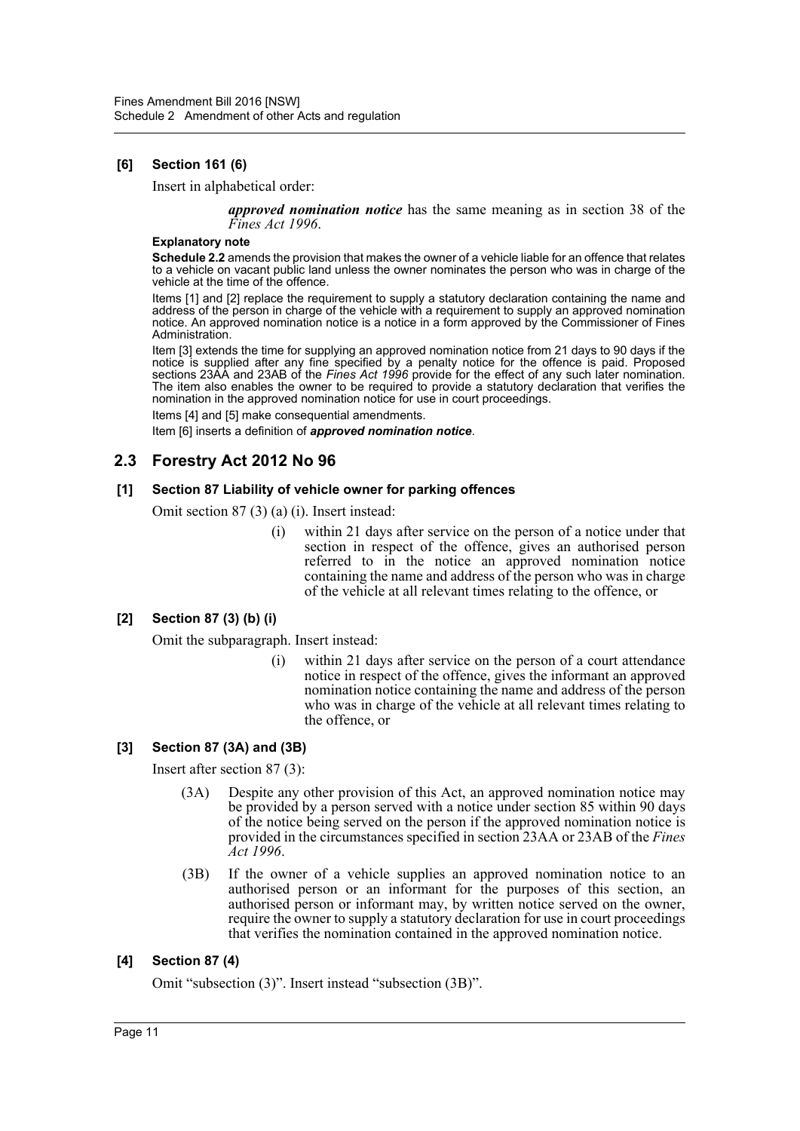# **[6] Section 161 (6)**

Insert in alphabetical order:

*approved nomination notice* has the same meaning as in section 38 of the *Fines Act 1996*.

#### **Explanatory note**

**Schedule 2.2** amends the provision that makes the owner of a vehicle liable for an offence that relates to a vehicle on vacant public land unless the owner nominates the person who was in charge of the vehicle at the time of the offence.

Items [1] and [2] replace the requirement to supply a statutory declaration containing the name and address of the person in charge of the vehicle with a requirement to supply an approved nomination notice. An approved nomination notice is a notice in a form approved by the Commissioner of Fines Administration.

Item [3] extends the time for supplying an approved nomination notice from 21 days to 90 days if the notice is supplied after any fine specified by a penalty notice for the offence is paid. Proposed sections 23AA and 23AB of the *Fines Act 1996* provide for the effect of any such later nomination. The item also enables the owner to be required to provide a statutory declaration that verifies the nomination in the approved nomination notice for use in court proceedings.

Items [4] and [5] make consequential amendments.

Item [6] inserts a definition of *approved nomination notice*.

# **2.3 Forestry Act 2012 No 96**

#### **[1] Section 87 Liability of vehicle owner for parking offences**

Omit section 87 (3) (a) (i). Insert instead:

(i) within 21 days after service on the person of a notice under that section in respect of the offence, gives an authorised person referred to in the notice an approved nomination notice containing the name and address of the person who was in charge of the vehicle at all relevant times relating to the offence, or

# **[2] Section 87 (3) (b) (i)**

Omit the subparagraph. Insert instead:

(i) within 21 days after service on the person of a court attendance notice in respect of the offence, gives the informant an approved nomination notice containing the name and address of the person who was in charge of the vehicle at all relevant times relating to the offence, or

#### **[3] Section 87 (3A) and (3B)**

Insert after section 87 (3):

- (3A) Despite any other provision of this Act, an approved nomination notice may be provided by a person served with a notice under section 85 within 90 days of the notice being served on the person if the approved nomination notice is provided in the circumstances specified in section 23AA or 23AB of the *Fines Act 1996*.
- (3B) If the owner of a vehicle supplies an approved nomination notice to an authorised person or an informant for the purposes of this section, an authorised person or informant may, by written notice served on the owner, require the owner to supply a statutory declaration for use in court proceedings that verifies the nomination contained in the approved nomination notice.

# **[4] Section 87 (4)**

Omit "subsection (3)". Insert instead "subsection (3B)".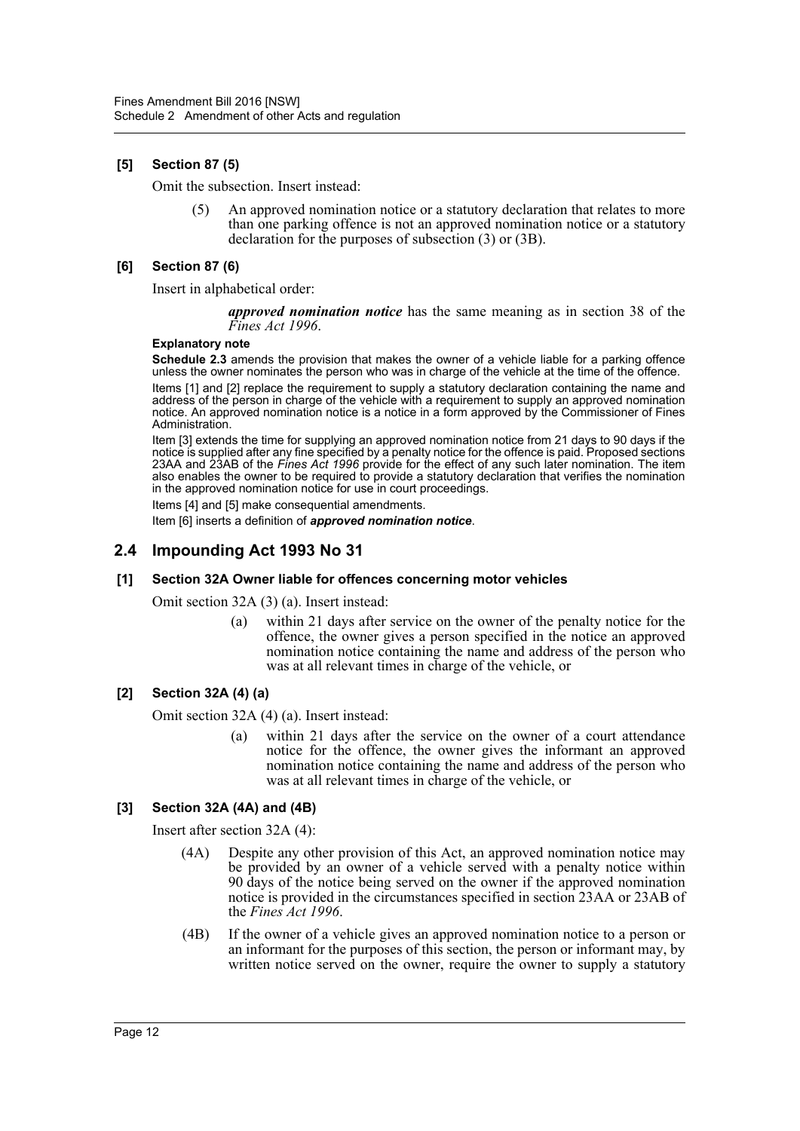# **[5] Section 87 (5)**

Omit the subsection. Insert instead:

(5) An approved nomination notice or a statutory declaration that relates to more than one parking offence is not an approved nomination notice or a statutory declaration for the purposes of subsection (3) or (3B).

## **[6] Section 87 (6)**

Insert in alphabetical order:

*approved nomination notice* has the same meaning as in section 38 of the *Fines Act 1996*.

#### **Explanatory note**

**Schedule 2.3** amends the provision that makes the owner of a vehicle liable for a parking offence unless the owner nominates the person who was in charge of the vehicle at the time of the offence.

Items [1] and [2] replace the requirement to supply a statutory declaration containing the name and address of the person in charge of the vehicle with a requirement to supply an approved nomination notice. An approved nomination notice is a notice in a form approved by the Commissioner of Fines Administration.

Item [3] extends the time for supplying an approved nomination notice from 21 days to 90 days if the notice is supplied after any fine specified by a penalty notice for the offence is paid. Proposed sections 23AA and 23AB of the *Fines Act 1996* provide for the effect of any such later nomination. The item also enables the owner to be required to provide a statutory declaration that verifies the nomination in the approved nomination notice for use in court proceedings.

Items [4] and [5] make consequential amendments.

Item [6] inserts a definition of *approved nomination notice*.

# **2.4 Impounding Act 1993 No 31**

#### **[1] Section 32A Owner liable for offences concerning motor vehicles**

Omit section 32A (3) (a). Insert instead:

(a) within 21 days after service on the owner of the penalty notice for the offence, the owner gives a person specified in the notice an approved nomination notice containing the name and address of the person who was at all relevant times in charge of the vehicle, or

#### **[2] Section 32A (4) (a)**

Omit section 32A (4) (a). Insert instead:

(a) within 21 days after the service on the owner of a court attendance notice for the offence, the owner gives the informant an approved nomination notice containing the name and address of the person who was at all relevant times in charge of the vehicle, or

# **[3] Section 32A (4A) and (4B)**

Insert after section 32A (4):

- (4A) Despite any other provision of this Act, an approved nomination notice may be provided by an owner of a vehicle served with a penalty notice within 90 days of the notice being served on the owner if the approved nomination notice is provided in the circumstances specified in section 23AA or 23AB of the *Fines Act 1996*.
- (4B) If the owner of a vehicle gives an approved nomination notice to a person or an informant for the purposes of this section, the person or informant may, by written notice served on the owner, require the owner to supply a statutory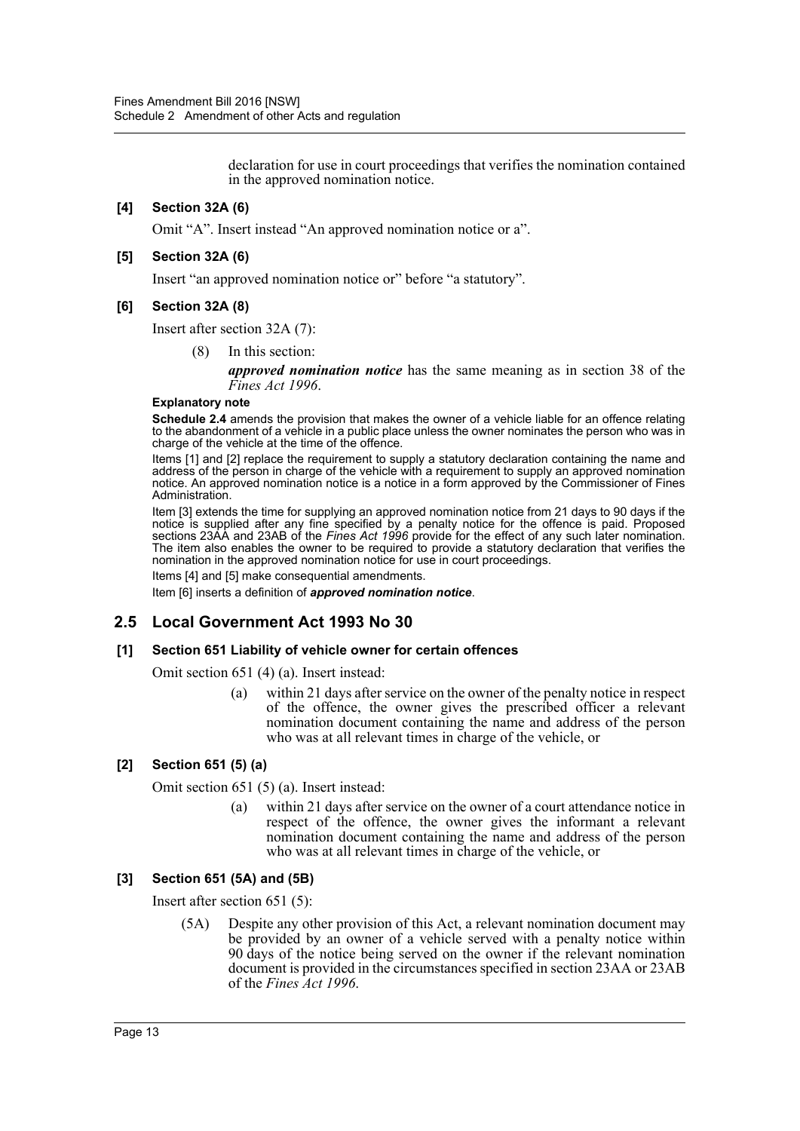declaration for use in court proceedings that verifies the nomination contained in the approved nomination notice.

# **[4] Section 32A (6)**

Omit "A". Insert instead "An approved nomination notice or a".

#### **[5] Section 32A (6)**

Insert "an approved nomination notice or" before "a statutory".

#### **[6] Section 32A (8)**

Insert after section 32A (7):

(8) In this section:

*approved nomination notice* has the same meaning as in section 38 of the *Fines Act 1996*.

#### **Explanatory note**

**Schedule 2.4** amends the provision that makes the owner of a vehicle liable for an offence relating to the abandonment of a vehicle in a public place unless the owner nominates the person who was in charge of the vehicle at the time of the offence.

Items [1] and [2] replace the requirement to supply a statutory declaration containing the name and address of the person in charge of the vehicle with a requirement to supply an approved nomination notice. An approved nomination notice is a notice in a form approved by the Commissioner of Fines Administration.

Item [3] extends the time for supplying an approved nomination notice from 21 days to 90 days if the notice is supplied after any fine specified by a penalty notice for the offence is paid. Proposed sections 23AA and 23AB of the *Fines Act 1996* provide for the effect of any such later nomination. The item also enables the owner to be required to provide a statutory declaration that verifies the nomination in the approved nomination notice for use in court proceedings.

Items [4] and [5] make consequential amendments.

Item [6] inserts a definition of *approved nomination notice*.

# **2.5 Local Government Act 1993 No 30**

#### **[1] Section 651 Liability of vehicle owner for certain offences**

Omit section 651 (4) (a). Insert instead:

(a) within 21 days after service on the owner of the penalty notice in respect of the offence, the owner gives the prescribed officer a relevant nomination document containing the name and address of the person who was at all relevant times in charge of the vehicle, or

#### **[2] Section 651 (5) (a)**

Omit section 651 (5) (a). Insert instead:

(a) within 21 days after service on the owner of a court attendance notice in respect of the offence, the owner gives the informant a relevant nomination document containing the name and address of the person who was at all relevant times in charge of the vehicle, or

#### **[3] Section 651 (5A) and (5B)**

Insert after section 651 (5):

(5A) Despite any other provision of this Act, a relevant nomination document may be provided by an owner of a vehicle served with a penalty notice within 90 days of the notice being served on the owner if the relevant nomination document is provided in the circumstances specified in section 23AA or 23AB of the *Fines Act 1996*.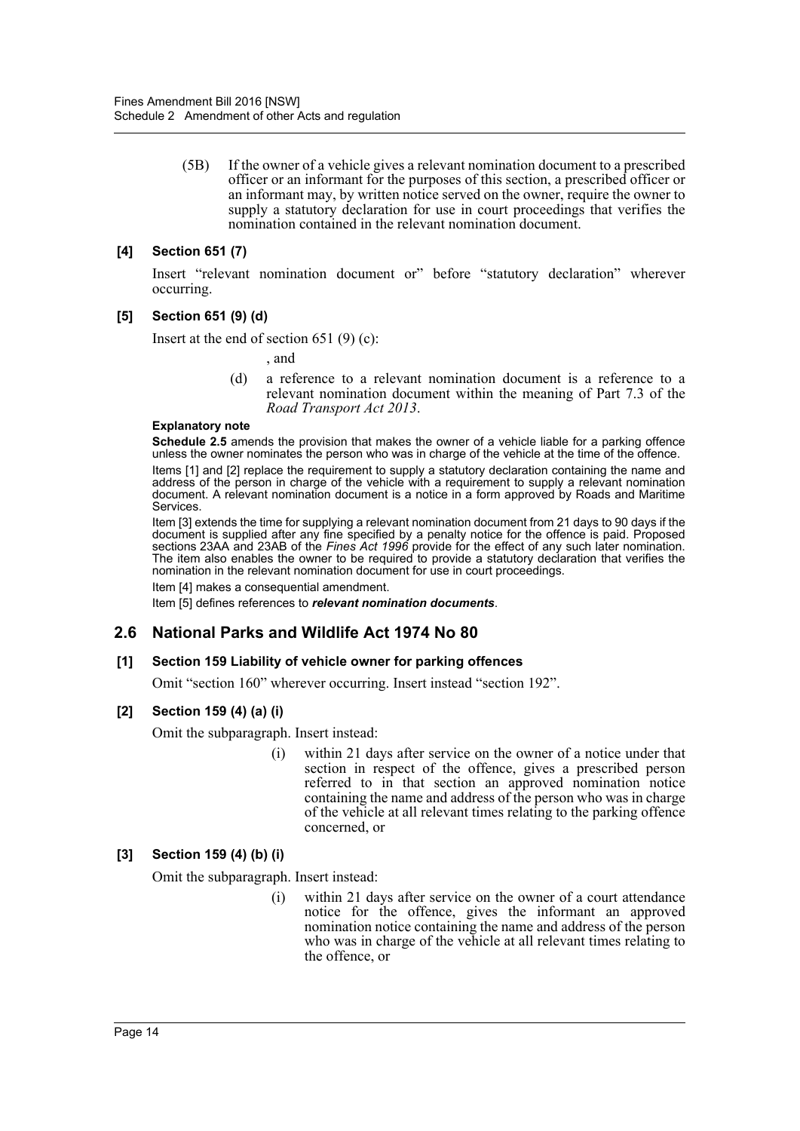(5B) If the owner of a vehicle gives a relevant nomination document to a prescribed officer or an informant for the purposes of this section, a prescribed officer or an informant may, by written notice served on the owner, require the owner to supply a statutory declaration for use in court proceedings that verifies the nomination contained in the relevant nomination document.

# **[4] Section 651 (7)**

Insert "relevant nomination document or" before "statutory declaration" wherever occurring.

#### **[5] Section 651 (9) (d)**

Insert at the end of section 651  $(9)$  (c):

, and

(d) a reference to a relevant nomination document is a reference to a relevant nomination document within the meaning of Part 7.3 of the *Road Transport Act 2013*.

#### **Explanatory note**

**Schedule 2.5** amends the provision that makes the owner of a vehicle liable for a parking offence unless the owner nominates the person who was in charge of the vehicle at the time of the offence.

Items [1] and [2] replace the requirement to supply a statutory declaration containing the name and address of the person in charge of the vehicle with a requirement to supply a relevant nomination document. A relevant nomination document is a notice in a form approved by Roads and Maritime Services.

Item [3] extends the time for supplying a relevant nomination document from 21 days to 90 days if the document is supplied after any fine specified by a penalty notice for the offence is paid. Proposed sections 23AA and 23AB of the *Fines Act 1996* provide for the effect of any such later nomination. The item also enables the owner to be required to provide a statutory declaration that verifies the nomination in the relevant nomination document for use in court proceedings.

Item [4] makes a consequential amendment.

Item [5] defines references to *relevant nomination documents*.

# **2.6 National Parks and Wildlife Act 1974 No 80**

#### **[1] Section 159 Liability of vehicle owner for parking offences**

Omit "section 160" wherever occurring. Insert instead "section 192".

#### **[2] Section 159 (4) (a) (i)**

Omit the subparagraph. Insert instead:

(i) within 21 days after service on the owner of a notice under that section in respect of the offence, gives a prescribed person referred to in that section an approved nomination notice containing the name and address of the person who was in charge of the vehicle at all relevant times relating to the parking offence concerned, or

#### **[3] Section 159 (4) (b) (i)**

Omit the subparagraph. Insert instead:

(i) within 21 days after service on the owner of a court attendance notice for the offence, gives the informant an approved nomination notice containing the name and address of the person who was in charge of the vehicle at all relevant times relating to the offence, or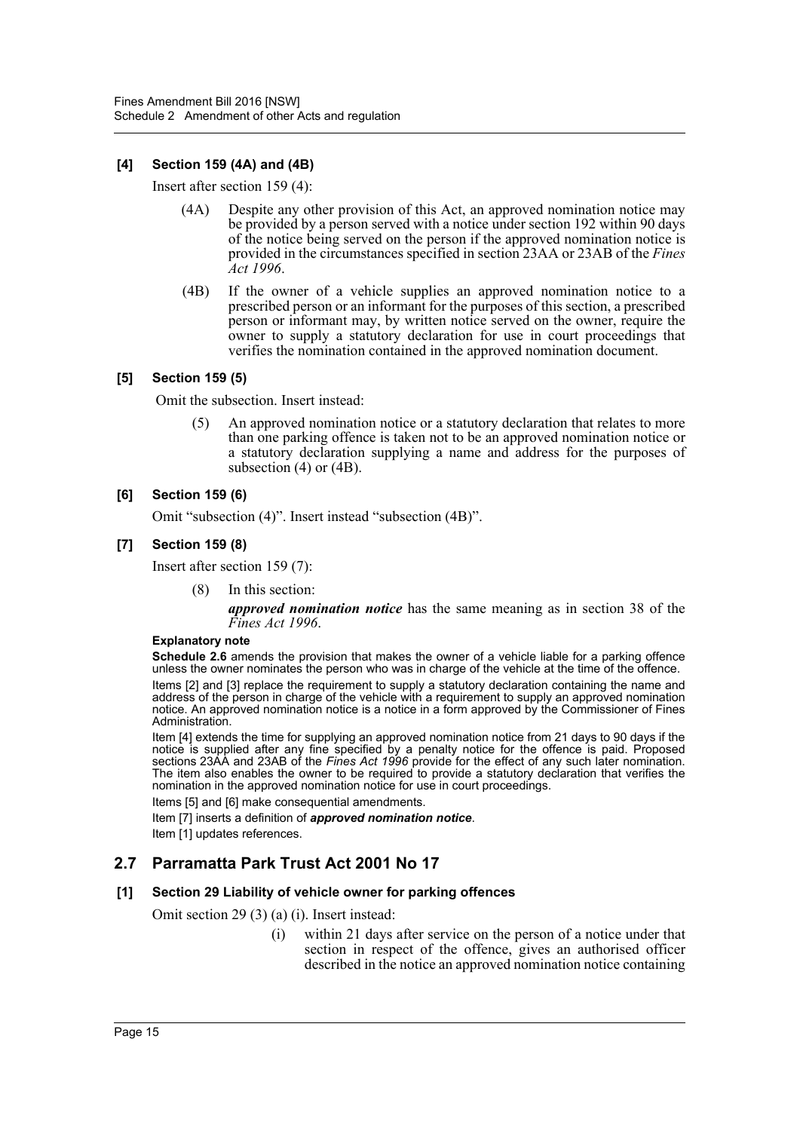# **[4] Section 159 (4A) and (4B)**

Insert after section 159 (4):

- (4A) Despite any other provision of this Act, an approved nomination notice may be provided by a person served with a notice under section 192 within 90 days of the notice being served on the person if the approved nomination notice is provided in the circumstances specified in section 23AA or 23AB of the *Fines Act 1996*.
- (4B) If the owner of a vehicle supplies an approved nomination notice to a prescribed person or an informant for the purposes of this section, a prescribed person or informant may, by written notice served on the owner, require the owner to supply a statutory declaration for use in court proceedings that verifies the nomination contained in the approved nomination document.

#### **[5] Section 159 (5)**

Omit the subsection. Insert instead:

(5) An approved nomination notice or a statutory declaration that relates to more than one parking offence is taken not to be an approved nomination notice or a statutory declaration supplying a name and address for the purposes of subsection (4) or (4B).

#### **[6] Section 159 (6)**

Omit "subsection (4)". Insert instead "subsection (4B)".

## **[7] Section 159 (8)**

Insert after section 159 (7):

(8) In this section:

*approved nomination notice* has the same meaning as in section 38 of the *Fines Act 1996*.

#### **Explanatory note**

**Schedule 2.6** amends the provision that makes the owner of a vehicle liable for a parking offence unless the owner nominates the person who was in charge of the vehicle at the time of the offence.

Items [2] and [3] replace the requirement to supply a statutory declaration containing the name and address of the person in charge of the vehicle with a requirement to supply an approved nomination notice. An approved nomination notice is a notice in a form approved by the Commissioner of Fines Administration.

Item [4] extends the time for supplying an approved nomination notice from 21 days to 90 days if the notice is supplied after any fine specified by a penalty notice for the offence is paid. Proposed sections 23AA and 23AB of the *Fines Act 1996* provide for the effect of any such later nomination. The item also enables the owner to be required to provide a statutory declaration that verifies the nomination in the approved nomination notice for use in court proceedings.

Items [5] and [6] make consequential amendments.

Item [7] inserts a definition of *approved nomination notice*.

Item [1] updates references.

# **2.7 Parramatta Park Trust Act 2001 No 17**

#### **[1] Section 29 Liability of vehicle owner for parking offences**

Omit section 29 (3) (a) (i). Insert instead:

(i) within 21 days after service on the person of a notice under that section in respect of the offence, gives an authorised officer described in the notice an approved nomination notice containing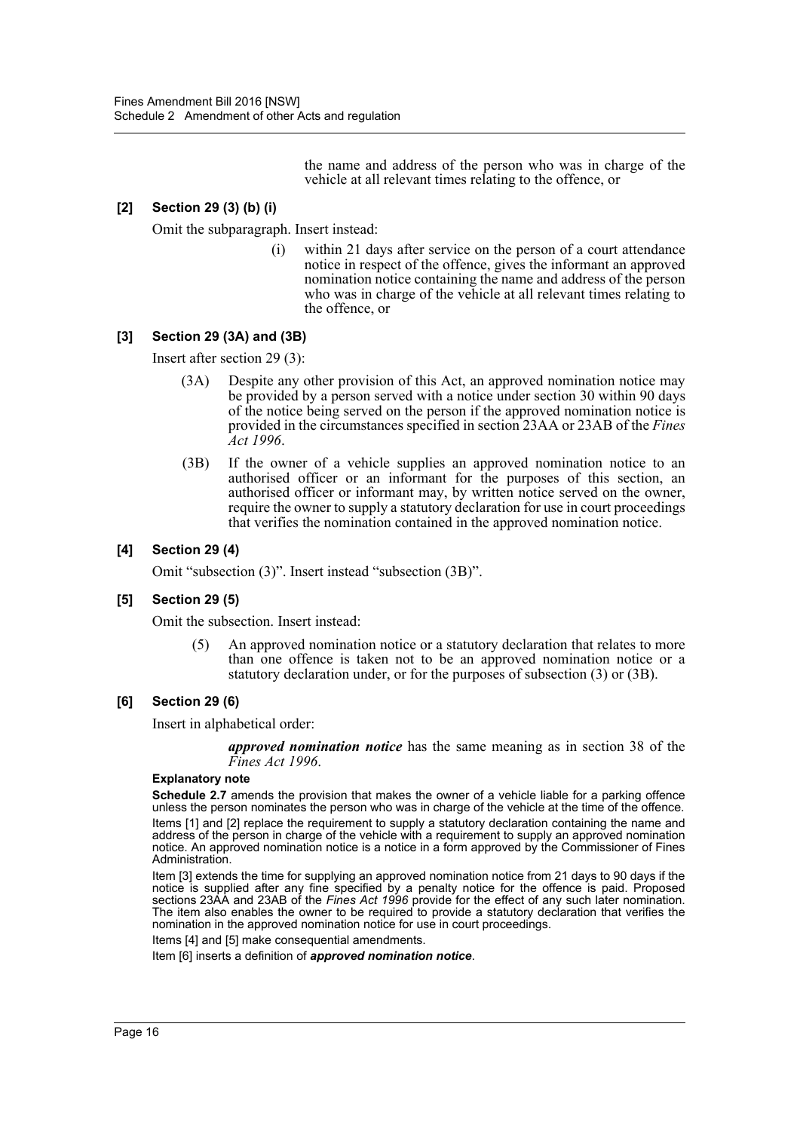the name and address of the person who was in charge of the vehicle at all relevant times relating to the offence, or

# **[2] Section 29 (3) (b) (i)**

Omit the subparagraph. Insert instead:

(i) within 21 days after service on the person of a court attendance notice in respect of the offence, gives the informant an approved nomination notice containing the name and address of the person who was in charge of the vehicle at all relevant times relating to the offence, or

## **[3] Section 29 (3A) and (3B)**

Insert after section 29 (3):

- (3A) Despite any other provision of this Act, an approved nomination notice may be provided by a person served with a notice under section 30 within 90 days of the notice being served on the person if the approved nomination notice is provided in the circumstances specified in section 23AA or 23AB of the *Fines Act 1996*.
- (3B) If the owner of a vehicle supplies an approved nomination notice to an authorised officer or an informant for the purposes of this section, an authorised officer or informant may, by written notice served on the owner, require the owner to supply a statutory declaration for use in court proceedings that verifies the nomination contained in the approved nomination notice.

## **[4] Section 29 (4)**

Omit "subsection (3)". Insert instead "subsection (3B)".

#### **[5] Section 29 (5)**

Omit the subsection. Insert instead:

(5) An approved nomination notice or a statutory declaration that relates to more than one offence is taken not to be an approved nomination notice or a statutory declaration under, or for the purposes of subsection (3) or (3B).

#### **[6] Section 29 (6)**

Insert in alphabetical order:

*approved nomination notice* has the same meaning as in section 38 of the *Fines Act 1996*.

#### **Explanatory note**

**Schedule 2.7** amends the provision that makes the owner of a vehicle liable for a parking offence unless the person nominates the person who was in charge of the vehicle at the time of the offence.

Items [1] and [2] replace the requirement to supply a statutory declaration containing the name and address of the person in charge of the vehicle with a requirement to supply an approved nomination notice. An approved nomination notice is a notice in a form approved by the Commissioner of Fines Administration.

Item [3] extends the time for supplying an approved nomination notice from 21 days to 90 days if the notice is supplied after any fine specified by a penalty notice for the offence is paid. Proposed sections 23AA and 23AB of the *Fines Act 1996* provide for the effect of any such later nomination. The item also enables the owner to be required to provide a statutory declaration that verifies the nomination in the approved nomination notice for use in court proceedings.

Items [4] and [5] make consequential amendments.

Item [6] inserts a definition of *approved nomination notice*.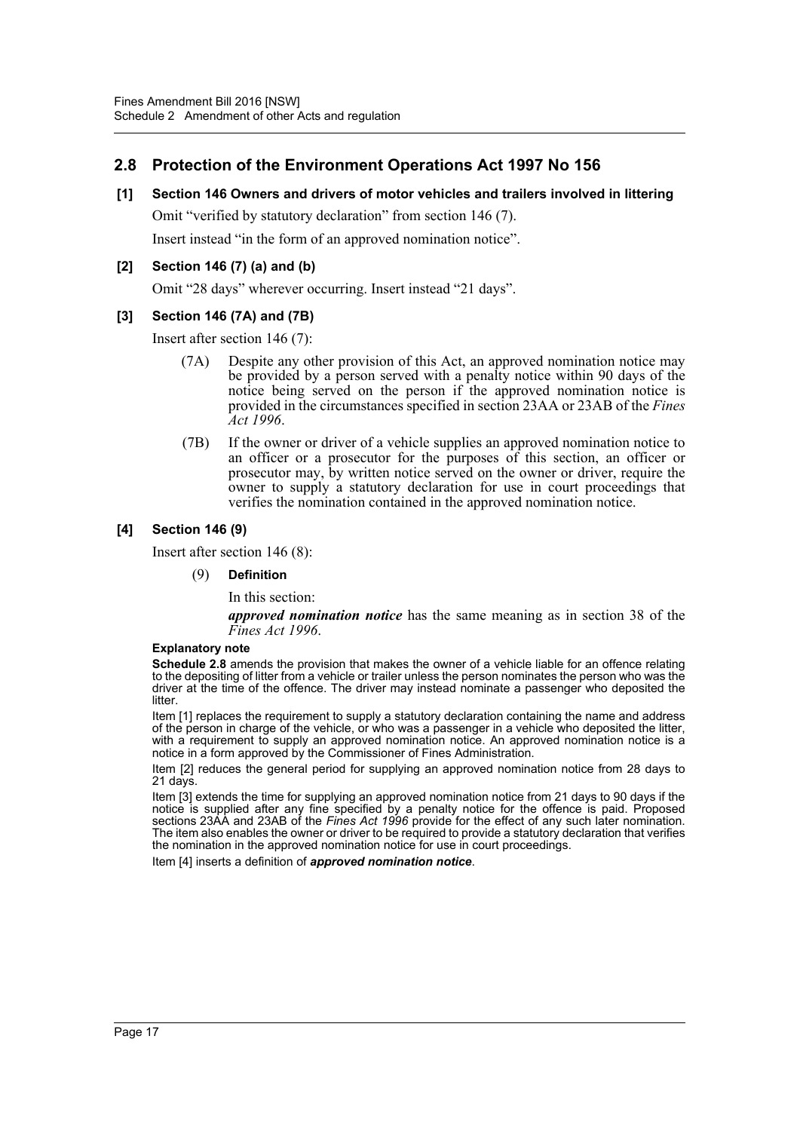# **2.8 Protection of the Environment Operations Act 1997 No 156**

## **[1] Section 146 Owners and drivers of motor vehicles and trailers involved in littering**

Omit "verified by statutory declaration" from section 146 (7).

Insert instead "in the form of an approved nomination notice".

## **[2] Section 146 (7) (a) and (b)**

Omit "28 days" wherever occurring. Insert instead "21 days".

#### **[3] Section 146 (7A) and (7B)**

Insert after section 146 (7):

- (7A) Despite any other provision of this Act, an approved nomination notice may be provided by a person served with a penalty notice within 90 days of the notice being served on the person if the approved nomination notice is provided in the circumstances specified in section 23AA or 23AB of the *Fines Act 1996*.
- (7B) If the owner or driver of a vehicle supplies an approved nomination notice to an officer or a prosecutor for the purposes of this section, an officer or prosecutor may, by written notice served on the owner or driver, require the owner to supply a statutory declaration for use in court proceedings that verifies the nomination contained in the approved nomination notice.

#### **[4] Section 146 (9)**

Insert after section 146 (8):

(9) **Definition**

In this section:

*approved nomination notice* has the same meaning as in section 38 of the *Fines Act 1996*.

#### **Explanatory note**

**Schedule 2.8** amends the provision that makes the owner of a vehicle liable for an offence relating to the depositing of litter from a vehicle or trailer unless the person nominates the person who was the driver at the time of the offence. The driver may instead nominate a passenger who deposited the **litter** 

Item [1] replaces the requirement to supply a statutory declaration containing the name and address of the person in charge of the vehicle, or who was a passenger in a vehicle who deposited the litter, with a requirement to supply an approved nomination notice. An approved nomination notice is a notice in a form approved by the Commissioner of Fines Administration.

Item [2] reduces the general period for supplying an approved nomination notice from 28 days to 21 days.

Item [3] extends the time for supplying an approved nomination notice from 21 days to 90 days if the notice is supplied after any fine specified by a penalty notice for the offence is paid. Proposed sections 23AA and 23AB of the *Fines Act 1996* provide for the effect of any such later nomination. The item also enables the owner or driver to be required to provide a statutory declaration that verifies the nomination in the approved nomination notice for use in court proceedings.

Item [4] inserts a definition of *approved nomination notice*.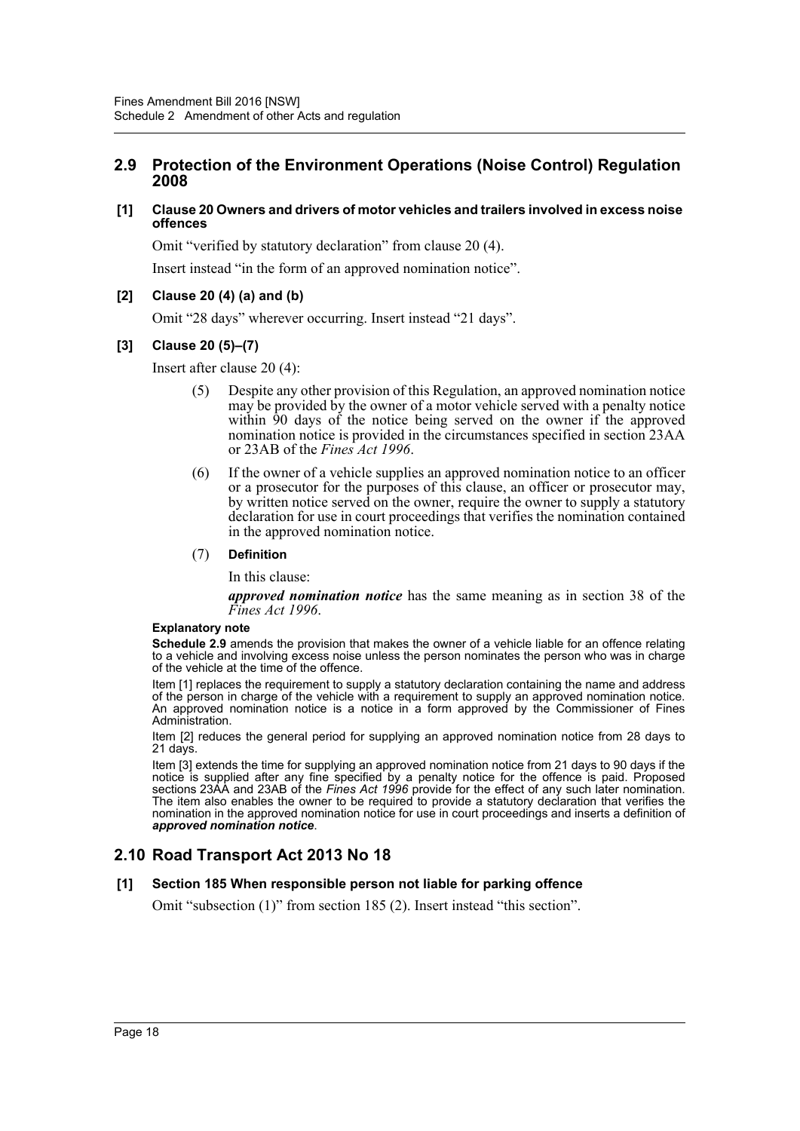# **2.9 Protection of the Environment Operations (Noise Control) Regulation 2008**

#### **[1] Clause 20 Owners and drivers of motor vehicles and trailers involved in excess noise offences**

Omit "verified by statutory declaration" from clause 20 (4).

Insert instead "in the form of an approved nomination notice".

## **[2] Clause 20 (4) (a) and (b)**

Omit "28 days" wherever occurring. Insert instead "21 days".

## **[3] Clause 20 (5)–(7)**

Insert after clause 20 (4):

- (5) Despite any other provision of this Regulation, an approved nomination notice may be provided by the owner of a motor vehicle served with a penalty notice within 90 days of the notice being served on the owner if the approved nomination notice is provided in the circumstances specified in section 23AA or 23AB of the *Fines Act 1996*.
- (6) If the owner of a vehicle supplies an approved nomination notice to an officer or a prosecutor for the purposes of this clause, an officer or prosecutor may, by written notice served on the owner, require the owner to supply a statutory declaration for use in court proceedings that verifies the nomination contained in the approved nomination notice.

#### (7) **Definition**

In this clause:

*approved nomination notice* has the same meaning as in section 38 of the *Fines Act 1996*.

#### **Explanatory note**

**Schedule 2.9** amends the provision that makes the owner of a vehicle liable for an offence relating to a vehicle and involving excess noise unless the person nominates the person who was in charge of the vehicle at the time of the offence.

Item [1] replaces the requirement to supply a statutory declaration containing the name and address of the person in charge of the vehicle with a requirement to supply an approved nomination notice. An approved nomination notice is a notice in a form approved by the Commissioner of Fines Administration.

Item [2] reduces the general period for supplying an approved nomination notice from 28 days to 21 days.

Item [3] extends the time for supplying an approved nomination notice from 21 days to 90 days if the notice is supplied after any fine specified by a penalty notice for the offence is paid. Proposed sections 23AA and 23AB of the *Fines Act 1996* provide for the effect of any such later nomination. The item also enables the owner to be required to provide a statutory declaration that verifies the nomination in the approved nomination notice for use in court proceedings and inserts a definition of *approved nomination notice*.

# **2.10 Road Transport Act 2013 No 18**

#### **[1] Section 185 When responsible person not liable for parking offence**

Omit "subsection (1)" from section 185 (2). Insert instead "this section".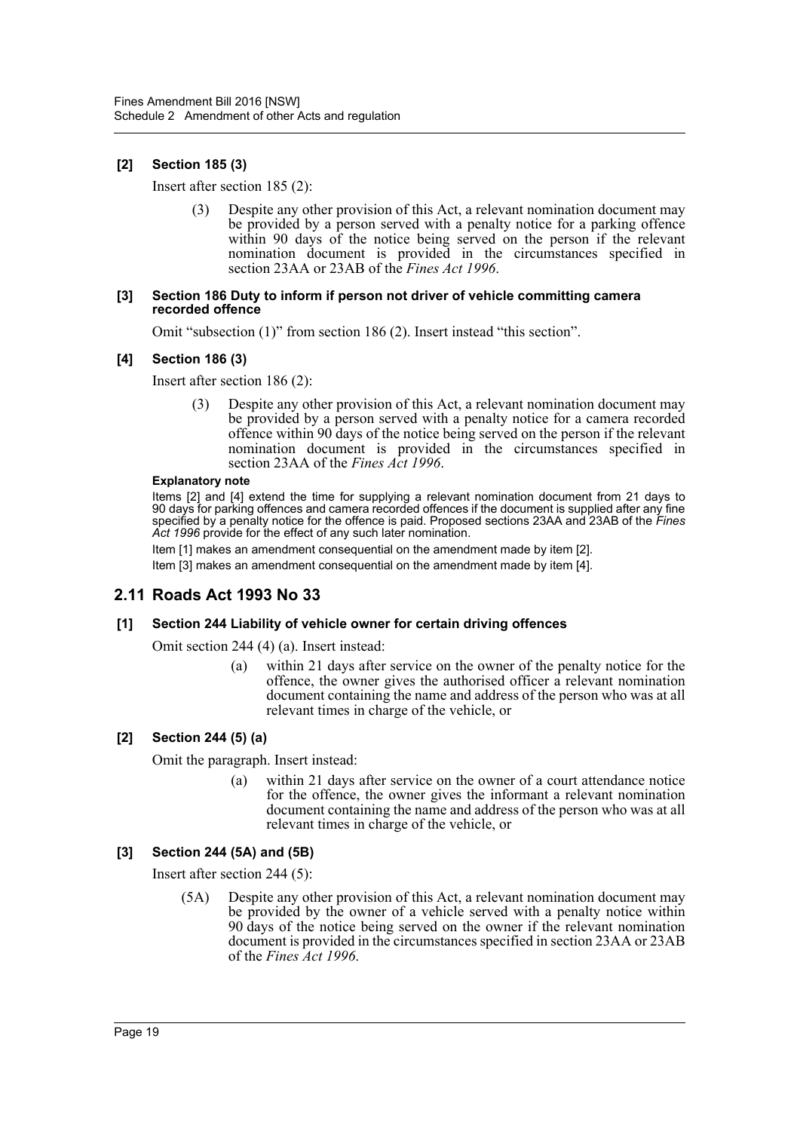# **[2] Section 185 (3)**

Insert after section 185 (2):

(3) Despite any other provision of this Act, a relevant nomination document may be provided by a person served with a penalty notice for a parking offence within 90 days of the notice being served on the person if the relevant nomination document is provided in the circumstances specified in section 23AA or 23AB of the *Fines Act 1996*.

#### **[3] Section 186 Duty to inform if person not driver of vehicle committing camera recorded offence**

Omit "subsection (1)" from section 186 (2). Insert instead "this section".

# **[4] Section 186 (3)**

Insert after section 186 (2):

(3) Despite any other provision of this Act, a relevant nomination document may be provided by a person served with a penalty notice for a camera recorded offence within 90 days of the notice being served on the person if the relevant nomination document is provided in the circumstances specified in section 23AA of the *Fines Act 1996*.

#### **Explanatory note**

Items [2] and [4] extend the time for supplying a relevant nomination document from 21 days to 90 days for parking offences and camera recorded offences if the document is supplied after any fine specified by a penalty notice for the offence is paid. Proposed sections 23AA and 23AB of the *Fines Act 1996* provide for the effect of any such later nomination.

Item [1] makes an amendment consequential on the amendment made by item [2]. Item [3] makes an amendment consequential on the amendment made by item [4].

# **2.11 Roads Act 1993 No 33**

# **[1] Section 244 Liability of vehicle owner for certain driving offences**

Omit section 244 (4) (a). Insert instead:

(a) within 21 days after service on the owner of the penalty notice for the offence, the owner gives the authorised officer a relevant nomination document containing the name and address of the person who was at all relevant times in charge of the vehicle, or

# **[2] Section 244 (5) (a)**

Omit the paragraph. Insert instead:

(a) within 21 days after service on the owner of a court attendance notice for the offence, the owner gives the informant a relevant nomination document containing the name and address of the person who was at all relevant times in charge of the vehicle, or

# **[3] Section 244 (5A) and (5B)**

Insert after section 244 (5):

(5A) Despite any other provision of this Act, a relevant nomination document may be provided by the owner of a vehicle served with a penalty notice within 90 days of the notice being served on the owner if the relevant nomination document is provided in the circumstances specified in section 23AA or 23AB of the *Fines Act 1996*.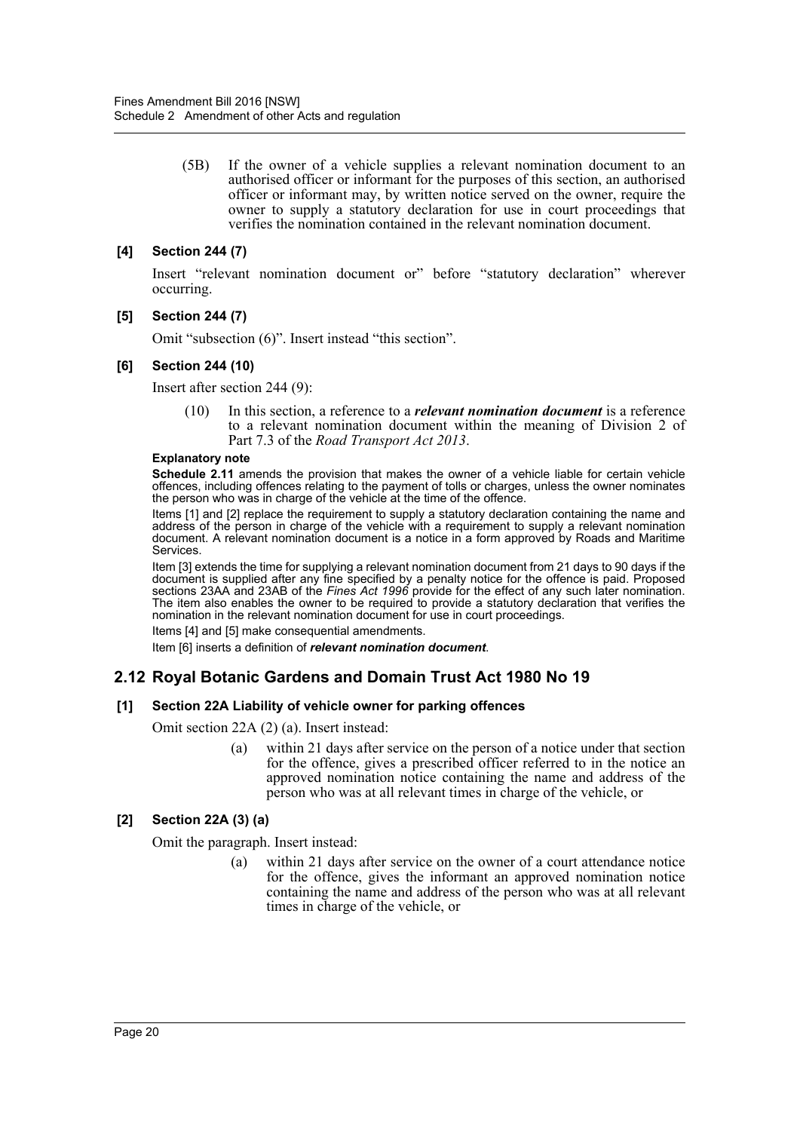(5B) If the owner of a vehicle supplies a relevant nomination document to an authorised officer or informant for the purposes of this section, an authorised officer or informant may, by written notice served on the owner, require the owner to supply a statutory declaration for use in court proceedings that verifies the nomination contained in the relevant nomination document.

## **[4] Section 244 (7)**

Insert "relevant nomination document or" before "statutory declaration" wherever occurring.

#### **[5] Section 244 (7)**

Omit "subsection (6)". Insert instead "this section".

#### **[6] Section 244 (10)**

Insert after section 244 (9):

(10) In this section, a reference to a *relevant nomination document* is a reference to a relevant nomination document within the meaning of Division 2 of Part 7.3 of the *Road Transport Act 2013*.

#### **Explanatory note**

**Schedule 2.11** amends the provision that makes the owner of a vehicle liable for certain vehicle offences, including offences relating to the payment of tolls or charges, unless the owner nominates the person who was in charge of the vehicle at the time of the offence.

Items [1] and [2] replace the requirement to supply a statutory declaration containing the name and address of the person in charge of the vehicle with a requirement to supply a relevant nomination document. A relevant nomination document is a notice in a form approved by Roads and Maritime Services.

Item [3] extends the time for supplying a relevant nomination document from 21 days to 90 days if the document is supplied after any fine specified by a penalty notice for the offence is paid. Proposed sections 23AA and 23AB of the *Fines Act 1996* provide for the effect of any such later nomination. The item also enables the owner to be required to provide a statutory declaration that verifies the nomination in the relevant nomination document for use in court proceedings.

Items [4] and [5] make consequential amendments.

Item [6] inserts a definition of *relevant nomination document*.

# **2.12 Royal Botanic Gardens and Domain Trust Act 1980 No 19**

#### **[1] Section 22A Liability of vehicle owner for parking offences**

Omit section 22A (2) (a). Insert instead:

(a) within 21 days after service on the person of a notice under that section for the offence, gives a prescribed officer referred to in the notice an approved nomination notice containing the name and address of the person who was at all relevant times in charge of the vehicle, or

# **[2] Section 22A (3) (a)**

Omit the paragraph. Insert instead:

(a) within 21 days after service on the owner of a court attendance notice for the offence, gives the informant an approved nomination notice containing the name and address of the person who was at all relevant times in charge of the vehicle, or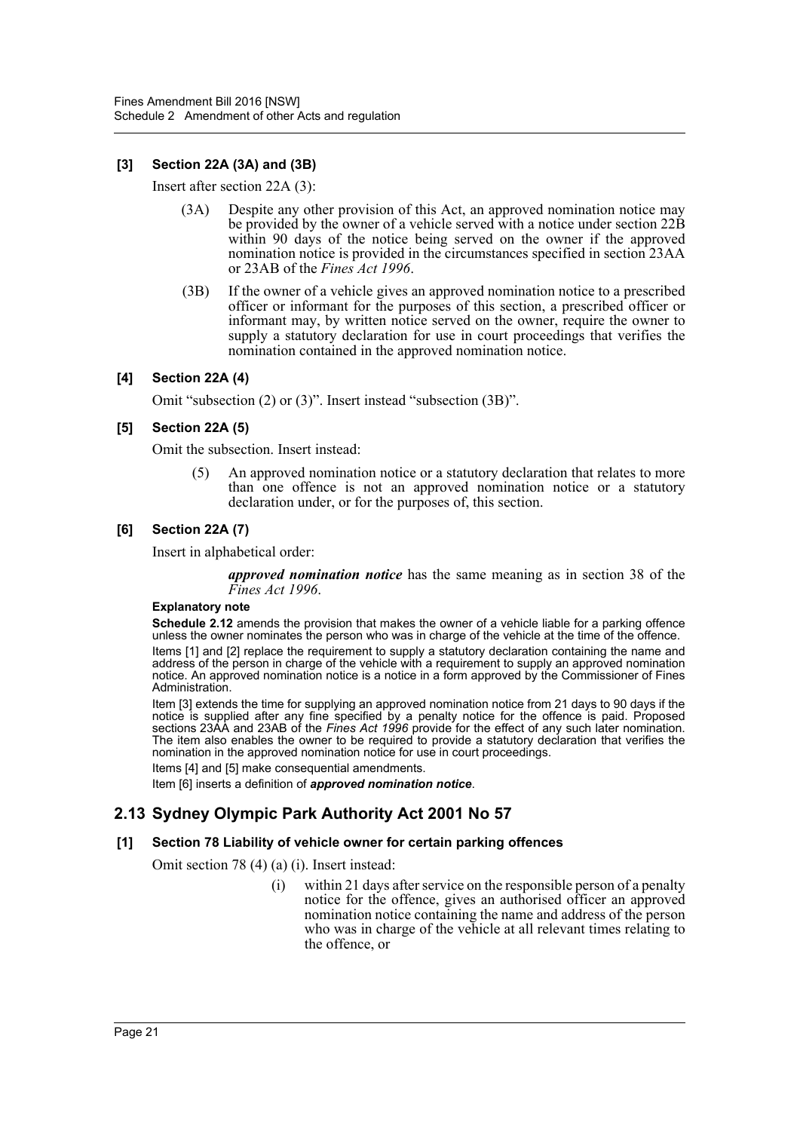# **[3] Section 22A (3A) and (3B)**

Insert after section 22A (3):

- (3A) Despite any other provision of this Act, an approved nomination notice may be provided by the owner of a vehicle served with a notice under section 22B within 90 days of the notice being served on the owner if the approved nomination notice is provided in the circumstances specified in section 23AA or 23AB of the *Fines Act 1996*.
- (3B) If the owner of a vehicle gives an approved nomination notice to a prescribed officer or informant for the purposes of this section, a prescribed officer or informant may, by written notice served on the owner, require the owner to supply a statutory declaration for use in court proceedings that verifies the nomination contained in the approved nomination notice.

## **[4] Section 22A (4)**

Omit "subsection (2) or (3)". Insert instead "subsection (3B)".

## **[5] Section 22A (5)**

Omit the subsection. Insert instead:

(5) An approved nomination notice or a statutory declaration that relates to more than one offence is not an approved nomination notice or a statutory declaration under, or for the purposes of, this section.

#### **[6] Section 22A (7)**

Insert in alphabetical order:

*approved nomination notice* has the same meaning as in section 38 of the *Fines Act 1996*.

#### **Explanatory note**

**Schedule 2.12** amends the provision that makes the owner of a vehicle liable for a parking offence unless the owner nominates the person who was in charge of the vehicle at the time of the offence.

Items [1] and [2] replace the requirement to supply a statutory declaration containing the name and address of the person in charge of the vehicle with a requirement to supply an approved nomination notice. An approved nomination notice is a notice in a form approved by the Commissioner of Fines Administration.

Item [3] extends the time for supplying an approved nomination notice from 21 days to 90 days if the notice is supplied after any fine specified by a penalty notice for the offence is paid. Proposed sections 23AA and 23AB of the *Fines Act 1996* provide for the effect of any such later nomination. The item also enables the owner to be required to provide a statutory declaration that verifies the nomination in the approved nomination notice for use in court proceedings.

Items [4] and [5] make consequential amendments.

Item [6] inserts a definition of *approved nomination notice*.

# **2.13 Sydney Olympic Park Authority Act 2001 No 57**

#### **[1] Section 78 Liability of vehicle owner for certain parking offences**

Omit section 78 (4) (a) (i). Insert instead:

(i) within 21 days after service on the responsible person of a penalty notice for the offence, gives an authorised officer an approved nomination notice containing the name and address of the person who was in charge of the vehicle at all relevant times relating to the offence, or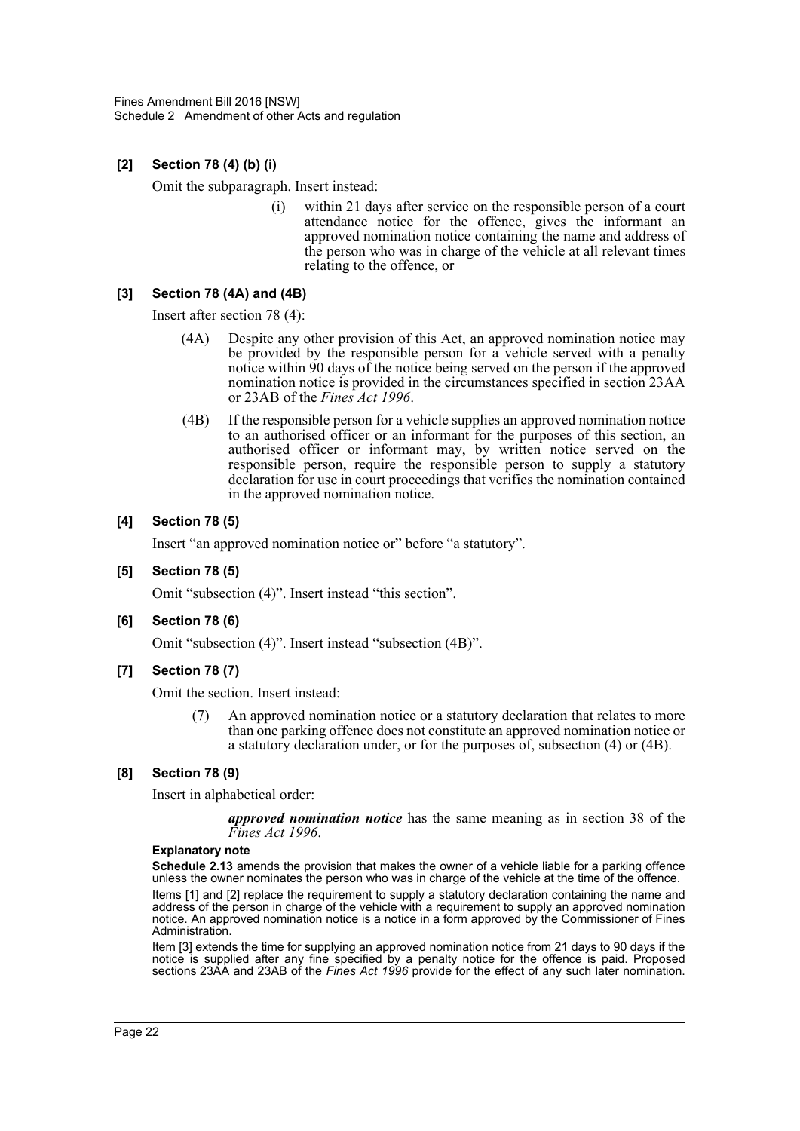# **[2] Section 78 (4) (b) (i)**

Omit the subparagraph. Insert instead:

(i) within 21 days after service on the responsible person of a court attendance notice for the offence, gives the informant an approved nomination notice containing the name and address of the person who was in charge of the vehicle at all relevant times relating to the offence, or

# **[3] Section 78 (4A) and (4B)**

Insert after section 78 (4):

- (4A) Despite any other provision of this Act, an approved nomination notice may be provided by the responsible person for a vehicle served with a penalty notice within 90 days of the notice being served on the person if the approved nomination notice is provided in the circumstances specified in section 23AA or 23AB of the *Fines Act 1996*.
- (4B) If the responsible person for a vehicle supplies an approved nomination notice to an authorised officer or an informant for the purposes of this section, an authorised officer or informant may, by written notice served on the responsible person, require the responsible person to supply a statutory declaration for use in court proceedings that verifies the nomination contained in the approved nomination notice.

#### **[4] Section 78 (5)**

Insert "an approved nomination notice or" before "a statutory".

**[5] Section 78 (5)**

Omit "subsection (4)". Insert instead "this section".

**[6] Section 78 (6)**

Omit "subsection (4)". Insert instead "subsection (4B)".

**[7] Section 78 (7)**

Omit the section. Insert instead:

(7) An approved nomination notice or a statutory declaration that relates to more than one parking offence does not constitute an approved nomination notice or a statutory declaration under, or for the purposes of, subsection (4) or (4B).

#### **[8] Section 78 (9)**

Insert in alphabetical order:

*approved nomination notice* has the same meaning as in section 38 of the *Fines Act 1996*.

#### **Explanatory note**

**Schedule 2.13** amends the provision that makes the owner of a vehicle liable for a parking offence unless the owner nominates the person who was in charge of the vehicle at the time of the offence.

Items [1] and [2] replace the requirement to supply a statutory declaration containing the name and address of the person in charge of the vehicle with a requirement to supply an approved nomination notice. An approved nomination notice is a notice in a form approved by the Commissioner of Fines Administration.

Item [3] extends the time for supplying an approved nomination notice from 21 days to 90 days if the notice is supplied after any fine specified by a penalty notice for the offence is paid. Proposed sections 23AA and 23AB of the *Fines Act 1996* provide for the effect of any such later nomination.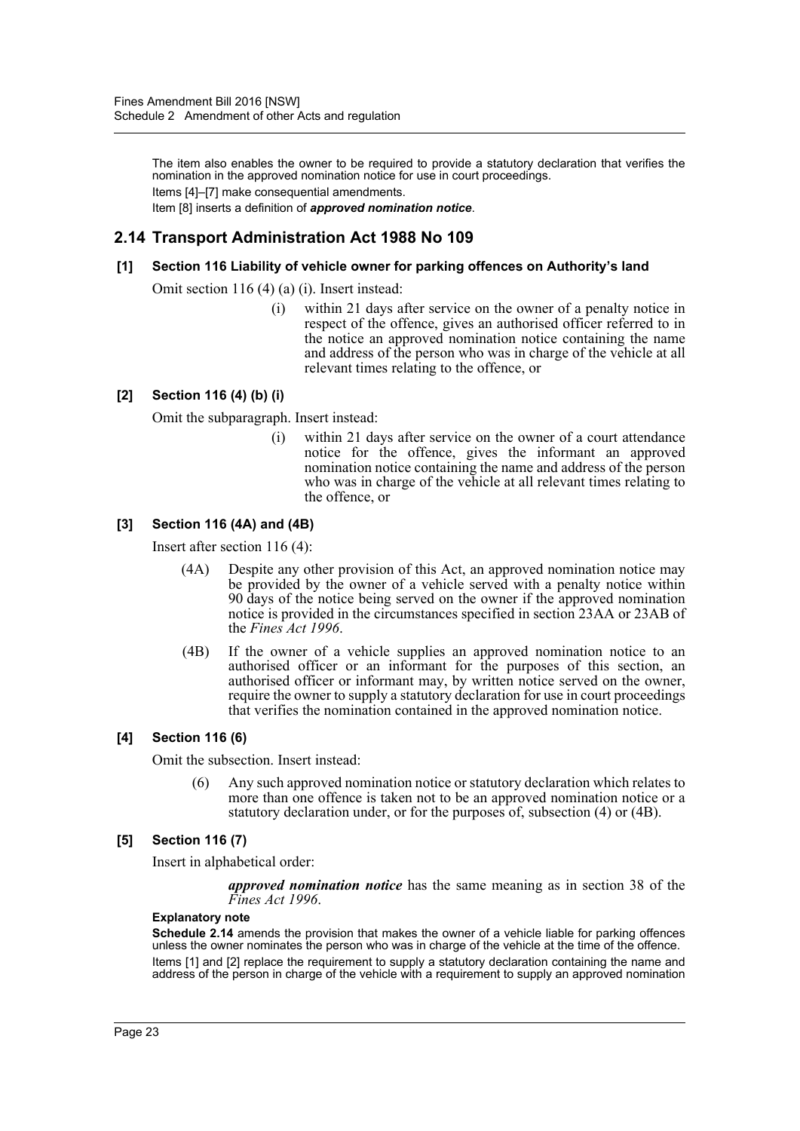The item also enables the owner to be required to provide a statutory declaration that verifies the nomination in the approved nomination notice for use in court proceedings. Items [4]–[7] make consequential amendments. Item [8] inserts a definition of *approved nomination notice*.

# **2.14 Transport Administration Act 1988 No 109**

#### **[1] Section 116 Liability of vehicle owner for parking offences on Authority's land**

Omit section 116 (4) (a) (i). Insert instead:

(i) within 21 days after service on the owner of a penalty notice in respect of the offence, gives an authorised officer referred to in the notice an approved nomination notice containing the name and address of the person who was in charge of the vehicle at all relevant times relating to the offence, or

# **[2] Section 116 (4) (b) (i)**

Omit the subparagraph. Insert instead:

(i) within 21 days after service on the owner of a court attendance notice for the offence, gives the informant an approved nomination notice containing the name and address of the person who was in charge of the vehicle at all relevant times relating to the offence, or

## **[3] Section 116 (4A) and (4B)**

Insert after section 116 (4):

- (4A) Despite any other provision of this Act, an approved nomination notice may be provided by the owner of a vehicle served with a penalty notice within 90 days of the notice being served on the owner if the approved nomination notice is provided in the circumstances specified in section 23AA or 23AB of the *Fines Act 1996*.
- (4B) If the owner of a vehicle supplies an approved nomination notice to an authorised officer or an informant for the purposes of this section, an authorised officer or informant may, by written notice served on the owner, require the owner to supply a statutory declaration for use in court proceedings that verifies the nomination contained in the approved nomination notice.

#### **[4] Section 116 (6)**

Omit the subsection. Insert instead:

(6) Any such approved nomination notice or statutory declaration which relates to more than one offence is taken not to be an approved nomination notice or a statutory declaration under, or for the purposes of, subsection (4) or (4B).

#### **[5] Section 116 (7)**

Insert in alphabetical order:

*approved nomination notice* has the same meaning as in section 38 of the *Fines Act 1996*.

#### **Explanatory note**

**Schedule 2.14** amends the provision that makes the owner of a vehicle liable for parking offences unless the owner nominates the person who was in charge of the vehicle at the time of the offence. Items [1] and [2] replace the requirement to supply a statutory declaration containing the name and address of the person in charge of the vehicle with a requirement to supply an approved nomination